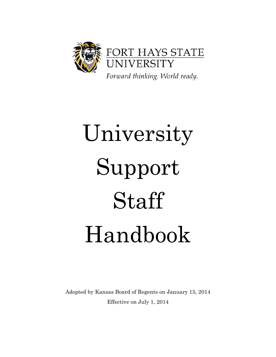

# University Support Staff Handbook

Adopted by Kansas Board of Regents on January 15, 2014 Effective on July 1, 2014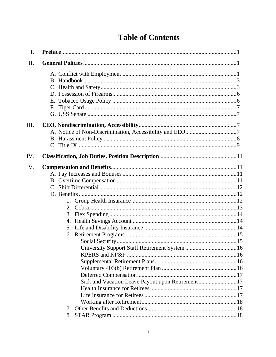## **Table of Contents**

| I.   |                                                  |  |
|------|--------------------------------------------------|--|
| II.  |                                                  |  |
|      |                                                  |  |
| III. |                                                  |  |
|      |                                                  |  |
|      |                                                  |  |
|      |                                                  |  |
| IV.  |                                                  |  |
| V.   |                                                  |  |
|      |                                                  |  |
|      |                                                  |  |
|      |                                                  |  |
|      |                                                  |  |
|      |                                                  |  |
|      |                                                  |  |
|      |                                                  |  |
|      |                                                  |  |
|      |                                                  |  |
|      |                                                  |  |
|      |                                                  |  |
|      |                                                  |  |
|      |                                                  |  |
|      |                                                  |  |
|      |                                                  |  |
|      |                                                  |  |
|      | Sick and Vacation Leave Payout upon Retirement17 |  |
|      |                                                  |  |
|      |                                                  |  |
|      |                                                  |  |
|      |                                                  |  |
|      |                                                  |  |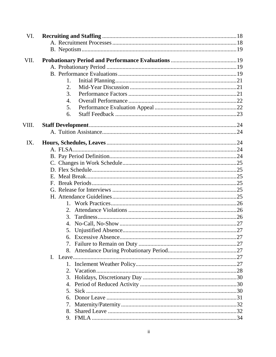| VI.   |    |  |
|-------|----|--|
|       |    |  |
|       |    |  |
| VII.  |    |  |
|       |    |  |
|       |    |  |
|       | 1. |  |
|       | 2. |  |
|       | 3. |  |
|       | 4. |  |
|       | 5. |  |
|       | 6. |  |
| VIII. |    |  |
|       |    |  |
|       |    |  |
| IX.   |    |  |
|       |    |  |
|       |    |  |
|       |    |  |
|       |    |  |
|       |    |  |
|       |    |  |
|       |    |  |
|       |    |  |
|       | 2. |  |
|       | 3. |  |
|       |    |  |
|       |    |  |
|       |    |  |
|       |    |  |
|       |    |  |
|       |    |  |
|       |    |  |
|       |    |  |
|       | 3. |  |
|       |    |  |
|       | 5. |  |
|       |    |  |
|       | 7. |  |
|       | 8. |  |
|       | 9. |  |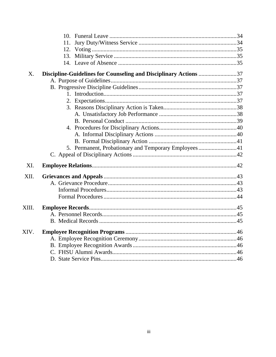|       | 12.                                                              |  |
|-------|------------------------------------------------------------------|--|
|       |                                                                  |  |
|       |                                                                  |  |
| X.    | Discipline-Guidelines for Counseling and Disciplinary Actions 37 |  |
|       |                                                                  |  |
|       |                                                                  |  |
|       |                                                                  |  |
|       |                                                                  |  |
|       |                                                                  |  |
|       |                                                                  |  |
|       |                                                                  |  |
|       |                                                                  |  |
|       |                                                                  |  |
|       |                                                                  |  |
|       | 5. Permanent, Probationary and Temporary Employees41             |  |
|       |                                                                  |  |
| XI.   |                                                                  |  |
| XII.  |                                                                  |  |
|       |                                                                  |  |
|       |                                                                  |  |
|       |                                                                  |  |
| XIII. |                                                                  |  |
|       |                                                                  |  |
|       |                                                                  |  |
| XIV.  |                                                                  |  |
|       |                                                                  |  |
|       |                                                                  |  |
|       |                                                                  |  |
|       |                                                                  |  |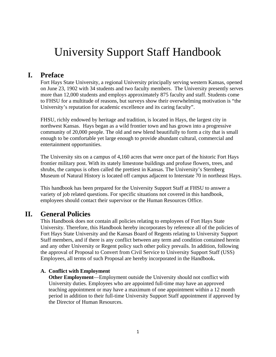# University Support Staff Handbook

## <span id="page-4-0"></span>**I. Preface**

Fort Hays State University, a regional University principally serving western Kansas, opened on June 23, 1902 with 34 students and two faculty members. The University presently serves more than 12,000 students and employs approximately 875 faculty and staff. Students come to FHSU for a multitude of reasons, but surveys show their overwhelming motivation is "the University's reputation for academic excellence and its caring faculty".

FHSU, richly endowed by heritage and tradition, is located in Hays, the largest city in northwest Kansas. Hays began as a wild frontier town and has grown into a progressive community of 20,000 people. The old and new blend beautifully to form a city that is small enough to be comfortable yet large enough to provide abundant cultural, commercial and entertainment opportunities.

The University sits on a campus of 4,160 acres that were once part of the historic Fort Hays frontier military post. With its stately limestone buildings and profuse flowers, trees, and shrubs, the campus is often called the prettiest in Kansas. The University's Sternberg Museum of Natural History is located off campus adjacent to Interstate 70 in northeast Hays.

This handbook has been prepared for the University Support Staff at FHSU to answer a variety of job related questions. For specific situations not covered in this handbook, employees should contact their supervisor or the Human Resources Office.

## <span id="page-4-2"></span><span id="page-4-1"></span>**II. General Policies**

This Handbook does not contain all policies relating to employees of Fort Hays State University. Therefore, this Handbook hereby incorporates by reference all of the policies of Fort Hays State University and the Kansas Board of Regents relating to University Support Staff members, and if there is any conflict between any term and condition contained herein and any other University or Regent policy such other policy prevails. In addition, following the approval of Proposal to Convert from Civil Service to University Support Staff (USS) Employees, all terms of such Proposal are hereby incorporated in the Handbook**.** 

#### **A. Conflict with Employment**

**Other Employment**—Employment outside the University should not conflict with University duties. Employees who are appointed full-time may have an approved teaching appointment or may have a maximum of one appointment within a 12 month period in addition to their full-time University Support Staff appointment if approved by the Director of Human Resources.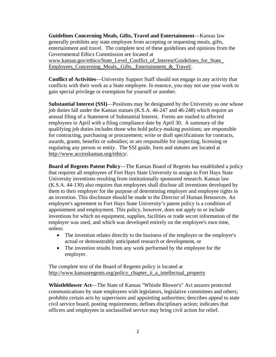**Guidelines Concerning Meals, Gifts, Travel and Entertainment**—Kansas law generally prohibits any state employee from accepting or requesting meals, gifts, entertainment and travel. The complete text of these guidelines and opinions from the Governmental Ethics Commission are located at www.kansas.gov/ethics/State\_Level\_Conflict\_of\_Interest/Guidelines\_for\_State Employees\_Concerning\_Meals,\_Gifts,\_Entertainment\_&\_Travel/.

**Conflict of Activities**—University Support Staff should not engage in any activity that conflicts with their work as a State employee. In essence, you may not use your work to gain special privilege or exemption for yourself or another.

**Substantial Interest (SSI)**—Positions may be designated by the University as one whose job duties fall under the Kansas statues (K.S.A. 46-247 and 46-248) which require an annual filing of a Statement of Substantial Interest. Forms are mailed to affected employees in April with a filing compliance date by April 30. A summary of the qualifying job duties includes those who hold policy-making positions; are responsible for contracting, purchasing or procurement; write or draft specifications for contracts, awards, grants, benefits or subsidies; or are responsible for inspecting, licensing or regulating any person or entity. The SSI guide, form and statutes are located at http://www.accesskansas.org/ethics/.

**Board of Regents Patent Policy**—The Kansas Board of Regents has established a policy that requires all employees of Fort Hays State University to assign to Fort Hays State University inventions resulting from institutionally sponsored research. Kansas law (K.S.A. 44-130) also requires that employees shall disclose all inventions developed by them to their employer for the purpose of determining employer and employee rights in an invention. This disclosure should be made to the Director of Human Resources. An employee's agreement to Fort Hays State University's patent policy is a condition of appointment and employment. This policy, however, does not apply to or include inventions for which no equipment, supplies, facilities or trade secret information of the employer was used, and which was developed entirely on the employee's own time, unless:

- The invention relates directly to the business of the employer or the employer's actual or demonstrably anticipated research or development, or
- The invention results from any work performed by the employee for the employer.

The complete text of the Board of Regents policy is located at http://www.kansasregents.org/policy\_chapter\_ii\_a\_intellectual\_property

**Whistleblower Act**—The State of Kansas "Whistle Blower's" Act assures protected communications by state employees with legislators, legislative committees and others; prohibits certain acts by supervisors and appointing authorities; describes appeal to state civil service board, posting requirements; defines disciplinary action; indicates that officers and employees in unclassified service may bring civil action for relief.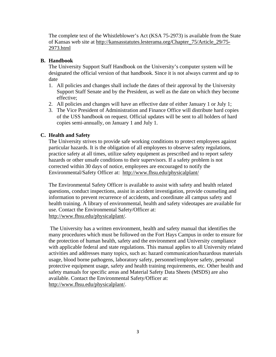The complete text of the Whistleblower's Act (KSA 75-2973) is available from the State of Kansas web site at http://kansasstatutes.lesterama.org/Chapter\_75/Article\_29/75- 2973.html

#### <span id="page-6-0"></span>**B. Handbook**

The University Support Staff Handbook on the University's computer system will be designated the official version of that handbook. Since it is not always current and up to date

- 1. All policies and changes shall include the dates of their approval by the University Support Staff Senate and by the President, as well as the date on which they become effective;
- 2. All policies and changes will have an effective date of either January 1 or July 1;
- 3. The Vice President of Administration and Finance Office will distribute hard copies of the USS handbook on request. Official updates will be sent to all holders of hard copies semi-annually, on January 1 and July 1.

## <span id="page-6-1"></span>**C. Health and Safety**

The University strives to provide safe working conditions to protect employees against particular hazards. It is the obligation of all employees to observe safety regulations, practice safety at all times, utilize safety equipment as prescribed and to report safety hazards or other unsafe conditions to their supervisors. If a safety problem is not corrected within 30 days of notice, employees are encouraged to notify the Environmental/Safety Officer at: http://www.fhsu.edu/physicalplant/

The Environmental Safety Officer is available to assist with safety and health related questions, conduct inspections, assist in accident investigation, provide counseling and information to prevent recurrence of accidents, and coordinate all campus safety and health training. A library of environmental, health and safety videotapes are available for use. Contact the Environmental Safety/Officer at: http://www.fhsu.edu/physicalplant/.

 The University has a written environment, health and safety manual that identifies the many procedures which must be followed on the Fort Hays Campus in order to ensure for the protection of human health, safety and the environment and University compliance with applicable federal and state regulations. This manual applies to all University related activities and addresses many topics, such as: hazard communication/hazardous materials usage, blood borne pathogens, laboratory safety, personnel/employee safety, personal protective equipment usage, safety and health training requirements, etc. Other health and safety manuals for specific areas and Material Safety Data Sheets (MSDS) are also available. Contact the Environmental Safety/Officer at: http://www.fhsu.edu/physicalplant/.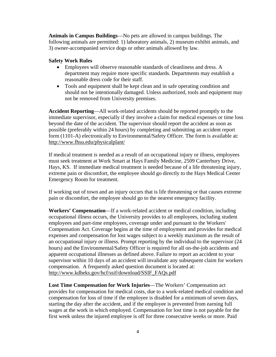**Animals in Campus Buildings**—No pets are allowed in campus buildings. The following animals are permitted: 1) laboratory animals, 2) museum exhibit animals, and 3) owner-accompanied service dogs or other animals allowed by law.

#### **Safety Work Rules**

- Employees will observe reasonable standards of cleanliness and dress. A department may require more specific standards. Departments may establish a reasonable dress code for their staff.
- Tools and equipment shall be kept clean and in safe operating condition and should not be intentionally damaged. Unless authorized, tools and equipment may not be removed from University premises.

**Accident Reporting**—All work-related accidents should be reported promptly to the immediate supervisor, especially if they involve a claim for medical expenses or time loss beyond the date of the accident. The supervisor should report the accident as soon as possible (preferably within 24 hours) by completing and submitting an accident report form (1101-A) electronically to Environmental/Safety Officer. The form is available at: http://www.fhsu.edu/physicalplant/

If medical treatment is needed as a result of an occupational injury or illness, employees must seek treatment at Work Smart at Hays Family Medicine, 2509 Canterbury Drive, Hays, KS. If immediate medical treatment is needed because of a life threatening injury, extreme pain or discomfort, the employee should go directly to the Hays Medical Center Emergency Room for treatment.

If working out of town and an injury occurs that is life threatening or that causes extreme pain or discomfort, the employee should go to the nearest emergency facility.

**Workers' Compensation**—If a work-related accident or medical condition, including occupational illness occurs, the University provides to all employees, including student employees and part-time employees, coverage under and pursuant to the Workers' Compensation Act. Coverage begins at the time of employment and provides for medical expenses and compensation for lost wages subject to a weekly maximum as the result of an occupational injury or illness. Prompt reporting by the individual to the supervisor (24 hours) and the Environmental/Safety Officer is required for all on-the-job accidents and apparent occupational illnesses as defined above. Failure to report an accident to your supervisor within 10 days of an accident will invalidate any subsequent claim for workers compensation. A frequently asked question document is located at: http://www.kdheks.gov/hcf/ssif/download/SSIF\_FAQs.pdf

**Lost Time Compensation for Work Injuries**—The Workers' Compensation act provides for compensation for medical costs, due to a work-related medical condition and compensation for loss of time if the employee is disabled for a minimum of seven days, starting the day after the accident, and if the employee is prevented from earning full wages at the work in which employed. Compensation for lost time is not payable for the first week unless the injured employee is off for three consecutive weeks or more. Paid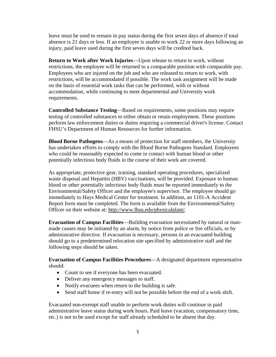leave must be used to remain in pay status during the first seven days of absence if total absence is 21 days or less. If an employee is unable to work 22 or more days following an injury, paid leave used during the first seven days will be credited back.

**Return to Work after Work Injuries**—Upon release to return to work, without restrictions, the employee will be returned to a comparable position with comparable pay. Employees who are injured on the job and who are released to return to work, with restrictions, will be accommodated if possible. The work task assignment will be made on the basis of essential work tasks that can be performed, with or without accommodation, while continuing to meet departmental and University work requirements.

**Controlled Substance Testing**—Based on requirements, some positions may require testing of controlled substances to either obtain or retain employment. These positions perform law enforcement duties or duties requiring a commercial driver's license. Contact FHSU's Department of Human Resources for further information.

**Blood Borne Pathogens**—As a means of protection for staff members, the University has undertaken efforts to comply with the Blood Borne Pathogens Standard. Employees who could be reasonably expected to come in contact with human blood or other potentially infectious body fluids in the course of their work are covered.

As appropriate, protective gear, training, standard operating procedures, specialized waste disposal and Hepatitis (HBV) vaccinations, will be provided. Exposure to human blood or other potentially infectious body fluids must be reported immediately to the Environmental/Safety Officer and the employee's supervisor. The employee should go immediately to Hays Medical Center for treatment. In addition, an 1101-A Accident Report form must be completed. The form is available from the Environmental/Safety Officer on their website at: http://www.fhsu.edu/physicalplant/.

**Evacuation of Campus Facilities**—Building evacuation necessitated by natural or manmade causes may be initiated by an alarm, by notice from police or fire officials, or by administrative directive. If evacuation is necessary, persons in an evacuated building should go to a predetermined relocation site specified by administrative staff and the following steps should be taken.

**Evacuation of Campus Facilities Procedures**—A designated department representative should:

- Count to see if everyone has been evacuated.
- Deliver any emergency messages to staff.
- Notify evacuees when return to the building is safe.
- Send staff home if re-entry will not be possible before the end of a work shift.

Evacuated non-exempt staff unable to perform work duties will continue in paid administrative leave status during work hours. Paid leave (vacation, compensatory time, etc.) is not to be used except for staff already scheduled to be absent that day.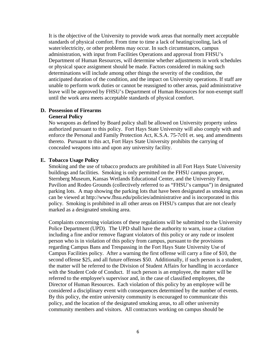It is the objective of the University to provide work areas that normally meet acceptable standards of physical comfort. From time to time a lack of heating/cooling, lack of water/electricity, or other problems may occur. In such circumstances, campus administration, with input from Facilities Operations and approval from FHSU's Department of Human Resources, will determine whether adjustments in work schedules or physical space assignment should be made. Factors considered in making such determinations will include among other things the severity of the condition, the anticipated duration of the condition, and the impact on University operations. If staff are unable to perform work duties or cannot be reassigned to other areas, paid administrative leave will be approved by FHSU's Department of Human Resources for non-exempt staff until the work area meets acceptable standards of physical comfort.

#### <span id="page-9-0"></span>**D. Possession of Firearms General Policy**

No weapons as defined by Board policy shall be allowed on University property unless authorized pursuant to this policy. Fort Hays State University will also comply with and enforce the Personal and Family Protection Act, K.S.A. 75-7c01 et. seq. and amendments thereto. Pursuant to this act, Fort Hays State University prohibits the carrying of concealed weapons into and upon any university facility.

#### <span id="page-9-1"></span>**E. Tobacco Usage Policy**

Smoking and the use of tobacco products are prohibited in all Fort Hays State University buildings and facilities. Smoking is only permitted on the FHSU campus proper, Sternberg Museum, Kansas Wetlands Educational Center, and the University Farm, Pavilion and Rodeo Grounds (collectively referred to as "FHSU's campus") in designated parking lots. A map showing the parking lots that have been designated as smoking areas can be viewed at http://www.fhsu.edu/policies/administrative and is incorporated in this policy. Smoking is prohibited in all other areas on FHSU's campus that are not clearly marked as a designated smoking area.

Complaints concerning violations of these regulations will be submitted to the University Police Department (UPD). The UPD shall have the authority to warn, issue a citation including a fine and/or remove flagrant violators of this policy or any rude or insolent person who is in violation of this policy from campus, pursuant to the provisions regarding Campus Bans and Trespassing in the Fort Hays State University Use of Campus Facilities policy. After a warning the first offense will carry a fine of \$10, the second offense \$25, and all future offenses \$50. Additionally, if such person is a student, the matter will be referred to the Division of Student Affairs for handling in accordance with the Student Code of Conduct. If such person is an employee, the matter will be referred to the employee's supervisor and, in the case of classified employees, the Director of Human Resources. Each violation of this policy by an employee will be considered a disciplinary event with consequences determined by the number of events. By this policy, the entire university community is encouraged to communicate this policy, and the location of the designated smoking areas, to all other university community members and visitors. All contractors working on campus should be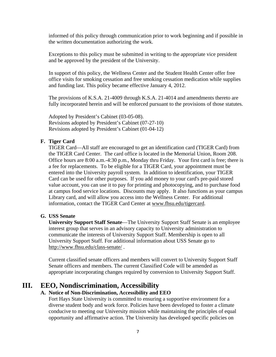informed of this policy through communication prior to work beginning and if possible in the written documentation authorizing the work.

Exceptions to this policy must be submitted in writing to the appropriate vice president and be approved by the president of the University.

In support of this policy, the Wellness Center and the Student Health Center offer free office visits for smoking cessation and free smoking cessation medication while supplies and funding last. This policy became effective January 4, 2012.

The provisions of K.S.A. 21-4009 through K.S.A. 21-4014 and amendments thereto are fully incorporated herein and will be enforced pursuant to the provisions of those statutes.

Adopted by President's Cabinet (03-05-08). Revisions adopted by President's Cabinet (07-27-10) Revisions adopted by President's Cabinet (01-04-12)

#### <span id="page-10-0"></span>**F. Tiger Card**

TIGER Card—All staff are encouraged to get an identification card (TIGER Card) from the TIGER Card Center. The card office is located in the Memorial Union, Room 208. Office hours are 8:00 a.m.-4:30 p.m., Monday thru Friday. Your first card is free; there is a fee for replacements. To be eligible for a TIGER Card, your appointment must be entered into the University payroll system. In addition to identification, your TIGER Card can be used for other purposes. If you add money to your card's pre-paid stored value account, you can use it to pay for printing and photocopying, and to purchase food at campus food service locations. Discounts may apply. It also functions as your campus Library card, and will allow you access into the Wellness Center. For additional information, contact the TIGER Card Center at www.fhsu.edu/tigercard.

#### <span id="page-10-1"></span>**G. USS Senate**

**University Support Staff Senate**—The University Support Staff Senate is an employee interest group that serves in an advisory capacity to University administration to communicate the interests of University Support Staff. Membership is open to all University Support Staff. For additional information about USS Senate go to http://www.fhsu.edu/class-senate/ .

Current classified senate officers and members will convert to University Support Staff Senate officers and members. The current Classified Code will be amended as appropriate incorporating changes required by conversion to University Support Staff.

## <span id="page-10-2"></span>**III. EEO, Nondiscrimination, Accessibility**

#### **A. Notice of Non-Discrimination, Accessibility and EEO**

Fort Hays State University is committed to ensuring a supportive environment for a diverse student body and work force. Policies have been developed to foster a climate conducive to meeting our University mission while maintaining the principles of equal opportunity and affirmative action. The University has developed specific policies on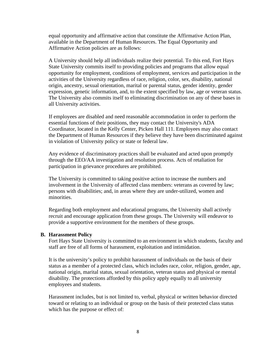equal opportunity and affirmative action that constitute the Affirmative Action Plan, available in the Department of Human Resources. The Equal Opportunity and Affirmative Action policies are as follows:

A University should help all individuals realize their potential. To this end, Fort Hays State University commits itself to providing policies and programs that allow equal opportunity for employment, conditions of employment, services and participation in the activities of the University regardless of race, religion, color, sex, disability, national origin, ancestry, sexual orientation, marital or parental status, gender identity, gender expression, genetic information, and, to the extent specified by law, age or veteran status. The University also commits itself to eliminating discrimination on any of these bases in all University activities.

If employees are disabled and need reasonable accommodation in order to perform the essential functions of their positions, they may contact the University's ADA Coordinator, located in the Kelly Center, Picken Hall 111. Employees may also contact the Department of Human Resources if they believe they have been discriminated against in violation of University policy or state or federal law.

Any evidence of discriminatory practices shall be evaluated and acted upon promptly through the EEO/AA investigation and resolution process. Acts of retaliation for participation in grievance procedures are prohibited.

The University is committed to taking positive action to increase the numbers and involvement in the University of affected class members: veterans as covered by law; persons with disabilities; and, in areas where they are under-utilized, women and minorities.

Regarding both employment and educational programs, the University shall actively recruit and encourage application from these groups. The University will endeavor to provide a supportive environment for the members of these groups.

#### <span id="page-11-0"></span>**B. Harassment Policy**

Fort Hays State University is committed to an environment in which students, faculty and staff are free of all forms of harassment, exploitation and intimidation.

It is the university's policy to prohibit harassment of individuals on the basis of their status as a member of a protected class, which includes race, color, religion, gender, age, national origin, marital status, sexual orientation, veteran status and physical or mental disability. The protections afforded by this policy apply equally to all university employees and students.

Harassment includes, but is not limited to, verbal, physical or written behavior directed toward or relating to an individual or group on the basis of their protected class status which has the purpose or effect of: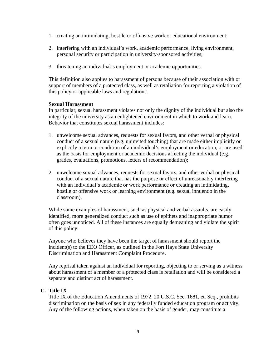- 1. creating an intimidating, hostile or offensive work or educational environment;
- 2. interfering with an individual's work, academic performance, living environment, personal security or participation in university-sponsored activities;
- 3. threatening an individual's employment or academic opportunities.

This definition also applies to harassment of persons because of their association with or support of members of a protected class, as well as retaliation for reporting a violation of this policy or applicable laws and regulations.

#### **Sexual Harassment**

In particular, sexual harassment violates not only the dignity of the individual but also the integrity of the university as an enlightened environment in which to work and learn. Behavior that constitutes sexual harassment includes:

- 1. unwelcome sexual advances, requests for sexual favors, and other verbal or physical conduct of a sexual nature (e.g. uninvited touching) that are made either implicitly or explicitly a term or condition of an individual's employment or education, or are used as the basis for employment or academic decisions affecting the individual (e.g. grades, evaluations, promotions, letters of recommendation);
- 2. unwelcome sexual advances, requests for sexual favors, and other verbal or physical conduct of a sexual nature that has the purpose or effect of unreasonably interfering with an individual's academic or work performance or creating an intimidating, hostile or offensive work or learning environment (e.g. sexual innuendo in the classroom).

While some examples of harassment, such as physical and verbal assaults, are easily identified, more generalized conduct such as use of epithets and inappropriate humor often goes unnoticed. All of these instances are equally demeaning and violate the spirit of this policy.

Anyone who believes they have been the target of harassment should report the incident(s) to the EEO Officer, as outlined in the Fort Hays State University Discrimination and Harassment Complaint Procedure.

Any reprisal taken against an individual for reporting, objecting to or serving as a witness about harassment of a member of a protected class is retaliation and will be considered a separate and distinct act of harassment.

#### <span id="page-12-0"></span>**C. Title IX**

Title IX of the Education Amendments of 1972, 20 U.S.C. Sec. 1681, et. Seq., prohibits discrimination on the basis of sex in any federally funded education program or activity. Any of the following actions, when taken on the basis of gender, may constitute a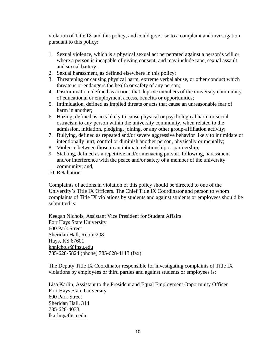violation of Title IX and this policy, and could give rise to a complaint and investigation pursuant to this policy:

- 1. Sexual violence, which is a physical sexual act perpetrated against a person's will or where a person is incapable of giving consent, and may include rape, sexual assault and sexual battery;
- 2. Sexual harassment, as defined elsewhere in this policy;
- 3. Threatening or causing physical harm, extreme verbal abuse, or other conduct which threatens or endangers the health or safety of any person;
- 4. Discrimination, defined as actions that deprive members of the university community of educational or employment access, benefits or opportunities;
- 5. Intimidation, defined as implied threats or acts that cause an unreasonable fear of harm in another;
- 6. Hazing, defined as acts likely to cause physical or psychological harm or social ostracism to any person within the university community, when related to the admission, initiation, pledging, joining, or any other group-affiliation activity;
- 7. Bullying, defined as repeated and/or severe aggressive behavior likely to intimidate or intentionally hurt, control or diminish another person, physically or mentally;
- 8. Violence between those in an intimate relationship or partnership;
- 9. Stalking, defined as a repetitive and/or menacing pursuit, following, harassment and/or interference with the peace and/or safety of a member of the university community; and,
- 10. Retaliation.

Complaints of actions in violation of this policy should be directed to one of the University's Title IX Officers. The Chief Title IX Coordinator and person to whom complaints of Title IX violations by students and against students or employees should be submitted is:

Keegan Nichols, Assistant Vice President for Student Affairs Fort Hays State University 600 Park Street Sheridan Hall, Room 208 Hays, KS 67601 knnichols@fhsu.edu 785-628-5824 (phone) 785-628-4113 (fax)

The Deputy Title IX Coordinator responsible for investigating complaints of Title IX violations by employees or third parties and against students or employees is:

Lisa Karlin, Assistant to the President and Equal Employment Opportunity Officer Fort Hays State University 600 Park Street Sheridan Hall, 314 785-628-4033 lkarlin@fhsu.edu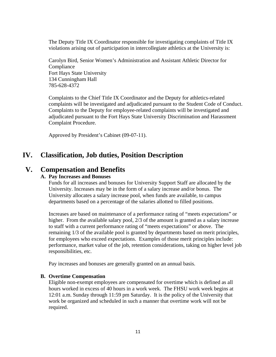The Deputy Title IX Coordinator responsible for investigating complaints of Title IX violations arising out of participation in intercollegiate athletics at the University is:

Carolyn Bird, Senior Women's Administration and Assistant Athletic Director for Compliance Fort Hays State University 134 Cunningham Hall 785-628-4372

Complaints to the Chief Title IX Coordinator and the Deputy for athletics-related complaints will be investigated and adjudicated pursuant to the Student Code of Conduct. Complaints to the Deputy for employee-related complaints will be investigated and adjudicated pursuant to the Fort Hays State University Discrimination and Harassment Complaint Procedure.

Approved by President's Cabinet (09-07-11).

## <span id="page-14-0"></span>**IV. Classification, Job duties, Position Description**

## **V. Compensation and Benefits**

#### **A. Pay Increases and Bonuses**

Funds for all increases and bonuses for University Support Staff are allocated by the University. Increases may be in the form of a salary increase and/or bonus. The University allocates a salary increase pool, when funds are available, to campus departments based on a percentage of the salaries allotted to filled positions.

Increases are based on maintenance of a performance rating of "meets expectations" or higher. From the available salary pool, 2/3 of the amount is granted as a salary increase to staff with a current performance rating of "meets expectations" or above. The remaining 1/3 of the available pool is granted by departments based on merit principles, for employees who exceed expectations. Examples of those merit principles include: performance, market value of the job, retention considerations, taking on higher level job responsibilities, etc.

Pay increases and bonuses are generally granted on an annual basis.

#### <span id="page-14-1"></span>**B. Overtime Compensation**

Eligible non-exempt employees are compensated for overtime which is defined as all hours worked in excess of 40 hours in a work week. The FHSU work week begins at 12:01 a.m. Sunday through 11:59 pm Saturday. It is the policy of the University that work be organized and scheduled in such a manner that overtime work will not be required.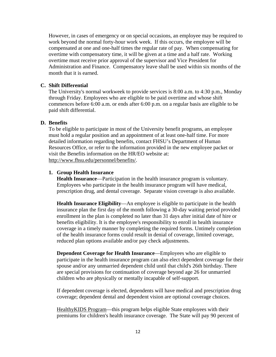However, in cases of emergency or on special occasions, an employee may be required to work beyond the normal forty-hour work week. If this occurs, the employee will be compensated at one and one-half times the regular rate of pay. When compensating for overtime with compensatory time, it will be given at a time and a half rate. Working overtime must receive prior approval of the supervisor and Vice President for Administration and Finance. Compensatory leave shall be used within six months of the month that it is earned.

#### <span id="page-15-0"></span>**C. Shift Differential**

The University's normal workweek to provide services is 8:00 a.m. to 4:30 p.m., Monday through Friday. Employees who are eligible to be paid overtime and whose shift commences before 6:00 a.m. or ends after 6:00 p.m. on a regular basis are eligible to be paid shift differential.

#### <span id="page-15-1"></span>**D. Benefits**

To be eligible to participate in most of the University benefit programs, an employee must hold a regular position and an appointment of at least one-half time. For more detailed information regarding benefits, contact FHSU's Department of Human Resources Office, or refer to the information provided in the new employee packet or visit the Benefits information on the HR/EO website at: http://www.fhsu.edu/personnel/benefits/.

#### <span id="page-15-2"></span>**1. Group Health Insurance**

**Health Insurance**—Participation in the health insurance program is voluntary. Employees who participate in the health insurance program will have medical, prescription drug, and dental coverage. Separate vision coverage is also available.

**Health Insurance Eligibility**—An employee is eligible to participate in the health insurance plan the first day of the month following a 30-day waiting period provided enrollment in the plan is completed no later than 31 days after initial date of hire or benefits eligibility. It is the employee's responsibility to enroll in health insurance coverage in a timely manner by completing the required forms. Untimely completion of the health insurance forms could result in denial of coverage, limited coverage, reduced plan options available and/or pay check adjustments.

**Dependent Coverage for Health Insurance**—Employees who are eligible to participate in the health insurance program can also elect dependent coverage for their spouse and/or any unmarried dependent child until that child's 26th birthday. There are special provisions for continuation of coverage beyond age 26 for unmarried children who are physically or mentally incapable of self-support.

If dependent coverage is elected, dependents will have medical and prescription drug coverage; dependent dental and dependent vision are optional coverage choices.

HealthyKIDS Program—this program helps eligible State employees with their premiums for children's health insurance coverage. The State will pay 90 percent of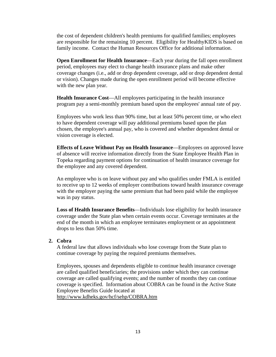the cost of dependent children's health premiums for qualified families; employees are responsible for the remaining 10 percent. Eligibility for HealthyKIDS is based on family income. Contact the Human Resources Office for additional information.

**Open Enrollment for Health Insurance—Each year during the fall open enrollment** period, employees may elect to change health insurance plans and make other coverage changes (i.e., add or drop dependent coverage, add or drop dependent dental or vision). Changes made during the open enrollment period will become effective with the new plan year.

**Health Insurance Cost**—All employees participating in the health insurance program pay a semi-monthly premium based upon the employees' annual rate of pay.

Employees who work less than 90% time, but at least 50% percent time, or who elect to have dependent coverage will pay additional premiums based upon the plan chosen, the employee's annual pay, who is covered and whether dependent dental or vision coverage is elected.

**Effects of Leave Without Pay on Health Insurance**—Employees on approved leave of absence will receive information directly from the State Employee Health Plan in Topeka regarding payment options for continuation of health insurance coverage for the employee and any covered dependent.

An employee who is on leave without pay and who qualifies under FMLA is entitled to receive up to 12 weeks of employer contributions toward health insurance coverage with the employer paying the same premium that had been paid while the employee was in pay status.

**Loss of Health Insurance Benefits**—Individuals lose eligibility for health insurance coverage under the State plan when certain events occur. Coverage terminates at the end of the month in which an employee terminates employment or an appointment drops to less than 50% time.

#### <span id="page-16-0"></span>**2. Cobra**

A federal law that allows individuals who lose coverage from the State plan to continue coverage by paying the required premiums themselves.

Employees, spouses and dependents eligible to continue health insurance coverage are called qualified beneficiaries; the provisions under which they can continue coverage are called qualifying events; and the number of months they can continue coverage is specified. Information about COBRA can be found in the Active State Employee Benefits Guide located at http://www.kdheks.gov/hcf/sehp/COBRA.htm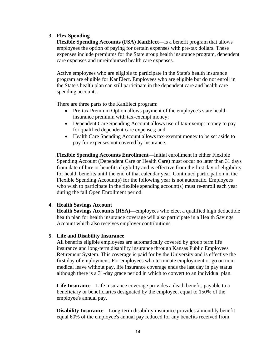#### <span id="page-17-0"></span>**3. Flex Spending**

**Flexible Spending Accounts (FSA) KanElect**—is a benefit program that allows employees the option of paying for certain expenses with pre-tax dollars. These expenses include premiums for the State group health insurance program, dependent care expenses and unreimbursed health care expenses.

Active employees who are eligible to participate in the State's health insurance program are eligible for KanElect. Employees who are eligible but do not enroll in the State's health plan can still participate in the dependent care and health care spending accounts.

There are three parts to the KanElect program:

- Pre-tax Premium Option allows payment of the employee's state health insurance premium with tax-exempt money;
- Dependent Care Spending Account allows use of tax-exempt money to pay for qualified dependent care expenses; and
- Health Care Spending Account allows tax-exempt money to be set aside to pay for expenses not covered by insurance.

**Flexible Spending Accounts Enrollment**—Initial enrollment in either Flexible Spending Account (Dependent Care or Health Care) must occur no later than 31 days from date of hire or benefits eligibility and is effective from the first day of eligibility for health benefits until the end of that calendar year. Continued participation in the Flexible Spending Account(s) for the following year is not automatic. Employees who wish to participate in the flexible spending account(s) must re-enroll each year during the fall Open Enrollment period.

#### <span id="page-17-1"></span>**4. Health Savings Account**

**Health Savings Accounts (HSA)—**employees who elect a qualified high deductible health plan for health insurance coverage will also participate in a Health Savings Account which also receives employer contributions.

#### <span id="page-17-2"></span>**5. Life and Disability Insurance**

All benefits eligible employees are automatically covered by group term life insurance and long-term disability insurance through Kansas Public Employees Retirement System. This coverage is paid for by the University and is effective the first day of employment. For employees who terminate employment or go on nonmedical leave without pay, life insurance coverage ends the last day in pay status although there is a 31-day grace period in which to convert to an individual plan.

**Life Insurance**—Life insurance coverage provides a death benefit, payable to a beneficiary or beneficiaries designated by the employee, equal to 150% of the employee's annual pay.

**Disability Insurance**—Long-term disability insurance provides a monthly benefit equal 60% of the employee's annual pay reduced for any benefits received from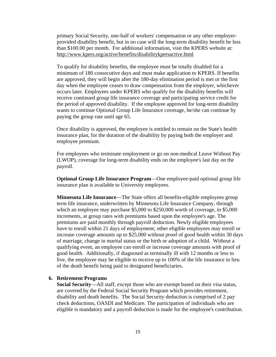primary Social Security, one-half of workers' compensation or any other employerprovided disability benefit, but in no case will the long-term disability benefit be less than \$100.00 per month. For additional information, visit the KPERS website at: http://www.kpers.org/active/benefits/disabilitykpersactive.html

To qualify for disability benefits, the employee must be totally disabled for a minimum of 180 consecutive days and must make application to KPERS. If benefits are approved, they will begin after the 180-day elimination period is met or the first day when the employee ceases to draw compensation from the employer, whichever occurs later. Employees under KPERS who qualify for the disability benefits will receive continued group life insurance coverage and participating service credit for the period of approved disability. If the employee approved for long-term disability wants to continue Optional Group Life Insurance coverage, he/she can continue by paying the group rate until age 65.

Once disability is approved, the employee is entitled to remain on the State's health insurance plan, for the duration of the disability by paying both the employer and employee premium.

For employees who terminate employment or go on non-medical Leave Without Pay (LWOP), coverage for long-term disability ends on the employee's last day on the payroll.

**Optional Group Life Insurance Program**—One employee-paid optional group life insurance plan is available to University employees.

**Minnesota Life Insurance**—The State offers all benefits-eligible employees group term life insurance, underwritten by Minnesota Life Insurance Company, through which an employee may purchase \$5,000 to \$250,000 worth of coverage, in \$5,000 increments, at group rates with premiums based upon the employee's age. The premiums are paid monthly through payroll deduction. Newly eligible employees have to enroll within 21 days of employment; other eligible employees may enroll or increase coverage amounts up to \$25,000 without proof of good health within 30 days of marriage, change in marital status or the birth or adoption of a child. Without a qualifying event, an employee can enroll or increase coverage amounts with proof of good health. Additionally, if diagnosed as terminally ill with 12 months or less to live, the employee may be eligible to receive up to 100% of the life insurance in lieu of the death benefit being paid to designated beneficiaries.

#### <span id="page-18-0"></span>**6. Retirement Programs**

**Social Security**—All staff, except those who are exempt based on their visa status, are covered by the Federal Social Security Program which provides retirement, disability and death benefits. The Social Security deduction is comprised of 2 pay check deductions, OASDI and Medicare. The participation of individuals who are eligible is mandatory and a payroll deduction is made for the employee's contribution.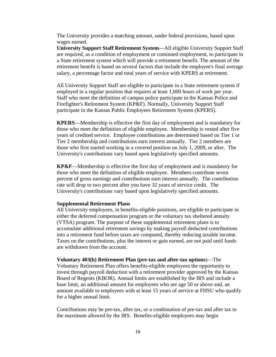The University provides a matching amount, under federal provisions, based upon wages earned.

<span id="page-19-0"></span>**University Support Staff Retirement System**—All eligible University Support Staff are required, as a condition of employment or continued employment, to participate in a State retirement system which will provide a retirement benefit. The amount of the retirement benefit is based on several factors that include the employee's final average salary, a percentage factor and total years of service with KPERS at retirement.

All University Support Staff are eligible to participate in a State retirement system if employed in a regular position that requires at least 1,000 hours of work per year. Staff who meet the definition of campus police participate in the Kansas Police and Firefighter's Retirement System (KP&F). Normally, University Support Staff participate in the Kansas Public Employees Retirement System (KPERS).

<span id="page-19-1"></span>**KPERS**—Membership is effective the first day of employment and is mandatory for those who meet the definition of eligible employee. Membership is vested after five years of credited service. Employee contributions are determined based on Tier 1 or Tier 2 membership and contributions earn interest annually. Tier 2 members are those who first started working in a covered position on July 1, 2009, or after. The University's contributions vary based upon legislatively specified amounts.

**KP&F**—Membership is effective the first day of employment and is mandatory for those who meet the definition of eligible employee. Members contribute seven percent of gross earnings and contributions earn interest annually. The contribution rate will drop to two percent after you have 32 years of service credit. The University's contributions vary based upon legislatively specified amounts.

#### <span id="page-19-2"></span>**Supplemental Retirement Plans**

All University employees, in benefits-eligible positions, are eligible to participate in either the deferred compensation program or the voluntary tax sheltered annuity (VTSA) program. The purpose of these supplemental retirement plans is to accumulate additional retirement savings by making payroll deducted contributions into a retirement fund before taxes are computed, thereby reducing taxable income. Taxes on the contributions, plus the interest or gain earned, are not paid until funds are withdrawn from the account.

<span id="page-19-3"></span>**Voluntary 403(b) Retirement Plan (pre-tax and after-tax options**)—The Voluntary Retirement Plan offers benefits-eligible employees the opportunity to invest through payroll deduction with a retirement provider approved by the Kansas Board of Regents (KBOR). Annual limits are established by the IRS and include a base limit, an additional amount for employees who are age 50 or above and, an amount available to employees with at least 15 years of service at FHSU who qualify for a higher annual limit.

Contributions may be pre-tax, after tax, or a combination of pre-tax and after tax to the maximum allowed by the IRS. Benefits-eligible employees may begin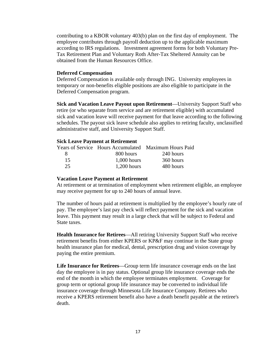contributing to a KBOR voluntary 403(b) plan on the first day of employment. The employee contributes through payroll deduction up to the applicable maximum according to IRS regulations. Investment agreement forms for both Voluntary Pre-Tax Retirement Plan and Voluntary Roth After-Tax Sheltered Annuity can be obtained from the Human Resources Office.

#### <span id="page-20-0"></span>**Deferred Compensation**

Deferred Compensation is available only through ING. University employees in temporary or non-benefits eligible positions are also eligible to participate in the Deferred Compensation program.

<span id="page-20-1"></span>**Sick and Vacation Leave Payout upon Retirement**—University Support Staff who retire (or who separate from service and are retirement eligible) with accumulated sick and vacation leave will receive payment for that leave according to the following schedules. The payout sick leave schedule also applies to retiring faculty, unclassified administrative staff, and University Support Staff.

#### **Sick Leave Payment at Retirement**

|     |               | Years of Service Hours Accumulated Maximum Hours Paid |
|-----|---------------|-------------------------------------------------------|
| x   | 800 hours     | 240 hours                                             |
| 15  | $1,000$ hours | 360 hours                                             |
| 25. | $1,200$ hours | 480 hours                                             |

#### **Vacation Leave Payment at Retirement**

At retirement or at termination of employment when retirement eligible, an employee may receive payment for up to 240 hours of annual leave.

The number of hours paid at retirement is multiplied by the employee's hourly rate of pay. The employee's last pay check will reflect payment for the sick and vacation leave. This payment may result in a large check that will be subject to Federal and State taxes.

<span id="page-20-3"></span><span id="page-20-2"></span>**Health Insurance for Retirees**—All retiring University Support Staff who receive retirement benefits from either KPERS or KP&F may continue in the State group health insurance plan for medical, dental, prescription drug and vision coverage by paying the entire premium.

**Life Insurance for Retirees**—Group term life insurance coverage ends on the last day the employee is in pay status. Optional group life insurance coverage ends the end of the month in which the employee terminates employment. Coverage for group term or optional group life insurance may be converted to individual life insurance coverage through Minnesota Life Insurance Company. Retirees who receive a KPERS retirement benefit also have a death benefit payable at the retiree's death.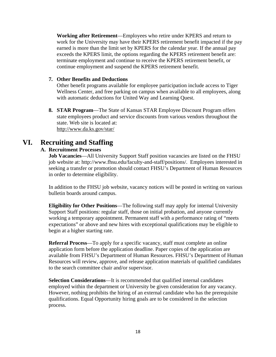<span id="page-21-0"></span>**Working after Retirement**—Employees who retire under KPERS and return to work for the University may have their KPERS retirement benefit impacted if the pay earned is more than the limit set by KPERS for the calendar year. If the annual pay exceeds the KPERS limit, the options regarding the KPERS retirement benefit are: terminate employment and continue to receive the KPERS retirement benefit, or continue employment and suspend the KPERS retirement benefit.

#### **7. Other Benefits and Deductions**

Other benefit programs available for employee participation include access to Tiger Wellness Center, and free parking on campus when available to all employees, along with automatic deductions for United Way and Learning Quest.

**8. STAR Program**—The State of Kansas STAR Employee Discount Program offers state employees product and service discounts from various vendors throughout the state. Web site is located at: http://www.da.ks.gov/star/

## <span id="page-21-3"></span><span id="page-21-2"></span><span id="page-21-1"></span>**VI. Recruiting and Staffing**

#### **A. Recruitment Processes**

**Job Vacancies—All University Support Staff position vacancies are listed on the FHSU** job website at: http://www.fhsu.edu/faculty-and-staff/positions/. Employees interested in seeking a transfer or promotion should contact FHSU's Department of Human Resources in order to determine eligibility.

In addition to the FHSU job website, vacancy notices will be posted in writing on various bulletin boards around campus.

**Eligibility for Other Positions**—The following staff may apply for internal University Support Staff positions: regular staff, those on initial probation, and anyone currently working a temporary appointment. Permanent staff with a performance rating of "meets expectations" or above and new hires with exceptional qualifications may be eligible to begin at a higher starting rate.

**Referral Process**—To apply for a specific vacancy, staff must complete an online application form before the application deadline. Paper copies of the application are available from FHSU's Department of Human Resources. FHSU's Department of Human Resources will review, approve, and release application materials of qualified candidates to the search committee chair and/or supervisor.

**Selection Considerations**—It is recommended that qualified internal candidates employed within the department or University be given consideration for any vacancy. However, nothing prohibits the hiring of an external candidate who has the prerequisite qualifications. Equal Opportunity hiring goals are to be considered in the selection process.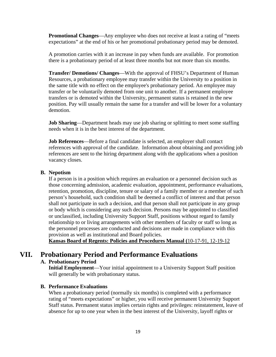**Promotional Changes**—Any employee who does not receive at least a rating of "meets expectations" at the end of his or her promotional probationary period may be demoted.

A promotion carries with it an increase in pay when funds are available. For promotion there is a probationary period of at least three months but not more than six months.

**Transfer/ Demotions/ Changes**—With the approval of FHSU's Department of Human Resources, a probationary employee may transfer within the University to a position in the same title with no effect on the employee's probationary period. An employee may transfer or be voluntarily demoted from one unit to another. If a permanent employee transfers or is demoted within the University, permanent status is retained in the new position. Pay will usually remain the same for a transfer and will be lower for a voluntary demotion.

**Job Sharing**—Department heads may use job sharing or splitting to meet some staffing needs when it is in the best interest of the department.

**Job References—Before a final candidate is selected, an employer shall contact** references with approval of the candidate. Information about obtaining and providing job references are sent to the hiring department along with the applications when a position vacancy closes.

#### <span id="page-22-0"></span>**B. Nepotism**

If a person is in a position which requires an evaluation or a personnel decision such as those concerning admission, academic evaluation, appointment, performance evaluations, retention, promotion, discipline, tenure or salary of a family member or a member of such person's household, such condition shall be deemed a conflict of interest and that person shall not participate in such a decision, and that person shall not participate in any group or body which is considering any such decision. Persons may be appointed to classified or unclassified, including University Support Staff, positions without regard to family relationship to or living arrangements with other members of faculty or staff so long as the personnel processes are conducted and decisions are made in compliance with this provision as well as institutional and Board policies.

**Kansas Board of Regents: Policies and Procedures Manual (**10-17-91, 12-19-12

## <span id="page-22-1"></span>**VII. Probationary Period and Performance Evaluations**

#### **A. Probationary Period**

**Initial Employment**—Your initial appointment to a University Support Staff position will generally be with probationary status.

#### **B. Performance Evaluations**

When a probationary period (normally six months) is completed with a performance rating of "meets expectations" or higher, you will receive permanent University Support Staff status. Permanent status implies certain rights and privileges: reinstatement, leave of absence for up to one year when in the best interest of the University, layoff rights or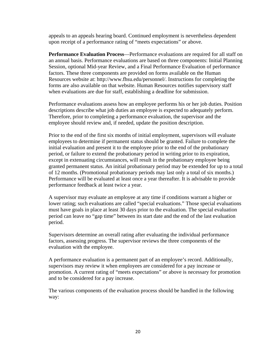appeals to an appeals hearing board. Continued employment is nevertheless dependent upon receipt of a performance rating of "meets expectations" or above.

**Performance Evaluation Process**—Performance evaluations are required for all staff on an annual basis. Performance evaluations are based on three components: Initial Planning Session, optional Mid-year Review, and a Final Performance Evaluation of performance factors. These three components are provided on forms available on the Human Resources website at: http://www.fhsu.edu/personnel/. Instructions for completing the forms are also available on that website. Human Resources notifies supervisory staff when evaluations are due for staff, establishing a deadline for submission.

Performance evaluations assess how an employee performs his or her job duties. Position descriptions describe what job duties an employee is expected to adequately perform. Therefore, prior to completing a performance evaluation, the supervisor and the employee should review and, if needed, update the position description.

Prior to the end of the first six months of initial employment, supervisors will evaluate employees to determine if permanent status should be granted. Failure to complete the initial evaluation and present it to the employee prior to the end of the probationary period, or failure to extend the probationary period in writing prior to its expiration, except in extenuating circumstances, will result in the probationary employee being granted permanent status. An initial probationary period may be extended for up to a total of 12 months. (Promotional probationary periods may last only a total of six months.) Performance will be evaluated at least once a year thereafter. It is advisable to provide performance feedback at least twice a year.

A supervisor may evaluate an employee at any time if conditions warrant a higher or lower rating; such evaluations are called "special evaluations." Those special evaluations must have goals in place at least 30 days prior to the evaluation. The special evaluation period can leave no "gap time" between its start date and the end of the last evaluation period.

Supervisors determine an overall rating after evaluating the individual performance factors, assessing progress. The supervisor reviews the three components of the evaluation with the employee.

A performance evaluation is a permanent part of an employee's record. Additionally, supervisors may review it when employees are considered for a pay increase or promotion. A current rating of "meets expectations" or above is necessary for promotion and to be considered for a pay increase.

The various components of the evaluation process should be handled in the following way: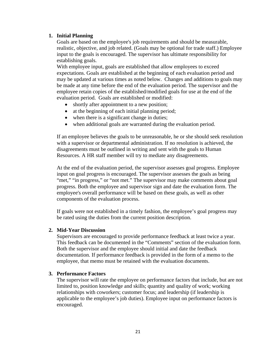#### <span id="page-24-0"></span>**1. Initial Planning**

Goals are based on the employee's job requirements and should be measurable, realistic, objective, and job related. (Goals may be optional for trade staff.) Employee input to the goals is encouraged. The supervisor has ultimate responsibility for establishing goals.

With employee input, goals are established that allow employees to exceed expectations. Goals are established at the beginning of each evaluation period and may be updated at various times as noted below. Changes and additions to goals may be made at any time before the end of the evaluation period. The supervisor and the employee retain copies of the established/modified goals for use at the end of the evaluation period. Goals are established or modified:

- shortly after appointment to a new position;
- at the beginning of each initial planning period;
- when there is a significant change in duties;
- when additional goals are warranted during the evaluation period.

If an employee believes the goals to be unreasonable, he or she should seek resolution with a supervisor or departmental administration. If no resolution is achieved, the disagreements must be outlined in writing and sent with the goals to Human Resources. A HR staff member will try to mediate any disagreements.

At the end of the evaluation period, the supervisor assesses goal progress. Employee input on goal progress is encouraged. The supervisor assesses the goals as being "met," "in progress," or "not met." The supervisor may make comments about goal progress. Both the employee and supervisor sign and date the evaluation form. The employee's overall performance will be based on these goals, as well as other components of the evaluation process.

If goals were not established in a timely fashion, the employee's goal progress may be rated using the duties from the current position description.

#### <span id="page-24-2"></span><span id="page-24-1"></span>**2. Mid-Year Discussion**

Supervisors are encouraged to provide performance feedback at least twice a year. This feedback can be documented in the "Comments" section of the evaluation form. Both the supervisor and the employee should initial and date the feedback documentation. If performance feedback is provided in the form of a memo to the employee, that memo must be retained with the evaluation documents.

#### **3. Performance Factors**

The supervisor will rate the employee on performance factors that include, but are not limited to, position knowledge and skills; quantity and quality of work; working relationships with coworkers; customer focus; and leadership (if leadership is applicable to the employee's job duties). Employee input on performance factors is encouraged.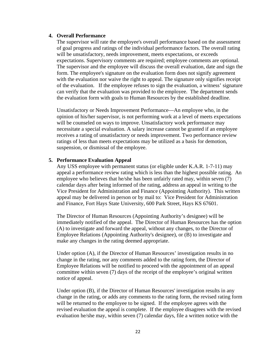#### <span id="page-25-0"></span>**4. Overall Performance**

The supervisor will rate the employee's overall performance based on the assessment of goal progress and ratings of the individual performance factors. The overall rating will be unsatisfactory, needs improvement, meets expectations, or exceeds expectations. Supervisory comments are required; employee comments are optional. The supervisor and the employee will discuss the overall evaluation, date and sign the form. The employee's signature on the evaluation form does not signify agreement with the evaluation nor waive the right to appeal. The signature only signifies receipt of the evaluation. If the employee refuses to sign the evaluation, a witness' signature can verify that the evaluation was provided to the employee. The department sends the evaluation form with goals to Human Resources by the established deadline.

Unsatisfactory or Needs Improvement Performance—An employee who, in the opinion of his/her supervisor, is not performing work at a level of meets expectations will be counseled on ways to improve. Unsatisfactory work performance may necessitate a special evaluation. A salary increase cannot be granted if an employee receives a rating of unsatisfactory or needs improvement. Two performance review ratings of less than meets expectations may be utilized as a basis for demotion, suspension, or dismissal of the employee.

#### <span id="page-25-1"></span>**5. Performance Evaluation Appeal**

Any USS employee with permanent status (or eligible under K.A.R. 1-7-11) may appeal a performance review rating which is less than the highest possible rating. An employee who believes that he/she has been unfairly rated may, within seven (7) calendar days after being informed of the rating, address an appeal in writing to the Vice President for Administration and Finance (Appointing Authority). This written appeal may be delivered in person or by mail to: Vice President for Administration and Finance, Fort Hays State University, 600 Park Street, Hays KS 67601.

The Director of Human Resources (Appointing Authority's designee) will be immediately notified of the appeal. The Director of Human Resources has the option (A) to investigate and forward the appeal, without any changes, to the Director of Employee Relations (Appointing Authority's designee), or (B) to investigate and make any changes in the rating deemed appropriate.

Under option (A), if the Director of Human Resources' investigation results in no change in the rating, nor any comments added to the rating form, the Director of Employee Relations will be notified to proceed with the appointment of an appeal committee within seven (7) days of the receipt of the employee's original written notice of appeal.

Under option (B), if the Director of Human Resources' investigation results in any change in the rating, or adds any comments to the rating form, the revised rating form will be returned to the employee to be signed. If the employee agrees with the revised evaluation the appeal is complete. If the employee disagrees with the revised evaluation he/she may, within seven (7) calendar days, file a written notice with the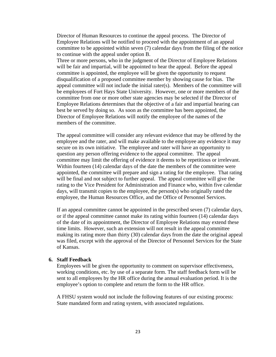Director of Human Resources to continue the appeal process. The Director of Employee Relations will be notified to proceed with the appointment of an appeal committee to be appointed within seven (7) calendar days from the filing of the notice to continue with the appeal under option B.

Three or more persons, who in the judgment of the Director of Employee Relations will be fair and impartial, will be appointed to hear the appeal. Before the appeal committee is appointed, the employee will be given the opportunity to request disqualification of a proposed committee member by showing cause for bias. The appeal committee will not include the initial rater(s). Members of the committee will be employees of Fort Hays State University. However, one or more members of the committee from one or more other state agencies may be selected if the Director of Employee Relations determines that the objective of a fair and impartial hearing can best be served by doing so. As soon as the committee has been appointed, the Director of Employee Relations will notify the employee of the names of the members of the committee.

The appeal committee will consider any relevant evidence that may be offered by the employee and the rater, and will make available to the employee any evidence it may secure on its own initiative. The employee and rater will have an opportunity to question any person offering evidence to the appeal committee. The appeal committee may limit the offering of evidence it deems to be repetitious or irrelevant. Within fourteen (14) calendar days of the date the members of the committee were appointed, the committee will prepare and sign a rating for the employee. That rating will be final and not subject to further appeal. The appeal committee will give the rating to the Vice President for Administration and Finance who, within five calendar days, will transmit copies to the employee, the person(s) who originally rated the employee, the Human Resources Office, and the Office of Personnel Services.

If an appeal committee cannot be appointed in the prescribed seven (7) calendar days, or if the appeal committee cannot make its rating within fourteen (14) calendar days of the date of its appointment, the Director of Employee Relations may extend these time limits. However, such an extension will not result in the appeal committee making its rating more than thirty (30) calendar days from the date the original appeal was filed, except with the approval of the Director of Personnel Services for the State of Kansas.

#### <span id="page-26-0"></span>**6. Staff Feedback**

Employees will be given the opportunity to comment on supervisor effectiveness, working conditions, etc. by use of a separate form. The staff feedback form will be sent to all employees by the HR office during the annual evaluation period. It is the employee's option to complete and return the form to the HR office.

A FHSU system would not include the following features of our existing process: State mandated form and rating system, with associated regulations.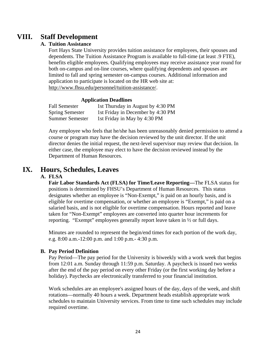## <span id="page-27-1"></span><span id="page-27-0"></span>**VIII. Staff Development**

#### **A. Tuition Assistance**

Fort Hays State University provides tuition assistance for employees, their spouses and dependents. The Tuition Assistance Program is available to full-time (at least .9 FTE), benefits eligible employees. Qualifying employees may receive assistance year round for both on-campus and on-line courses, where qualifying dependents and spouses are limited to fall and spring semester on-campus courses. Additional information and application to participate is located on the HR web site at: http://www.fhsu.edu/personnel/tuition-assistance/.

#### **Application Deadlines**

| <b>Fall Semester</b>   | 1st Thursday in August by 4:30 PM |
|------------------------|-----------------------------------|
| <b>Spring Semester</b> | 1st Friday in December by 4:30 PM |
| <b>Summer Semester</b> | 1st Friday in May by 4:30 PM      |

Any employee who feels that he/she has been unreasonably denied permission to attend a course or program may have the decision reviewed by the unit director. If the unit director denies the initial request, the next-level supervisor may review that decision. In either case, the employee may elect to have the decision reviewed instead by the Department of Human Resources.

## <span id="page-27-2"></span>**IX. Hours, Schedules, Leaves**

#### **A. FLSA**

**Fair Labor Standards Act (FLSA) for Time/Leave Reporting—**The FLSA status for positions is determined by FHSU's Department of Human Resources. This status designates whether an employee is "Non-Exempt," is paid on an hourly basis, and is eligible for overtime compensation, or whether an employee is "Exempt," is paid on a salaried basis, and is not eligible for overtime compensation. Hours reported and leave taken for "Non-Exempt" employees are converted into quarter hour increments for reporting. "Exempt" employees generally report leave taken in ½ or full days.

Minutes are rounded to represent the begin/end times for each portion of the work day, e.g. 8:00 a.m.-12:00 p.m. and 1:00 p.m.- 4:30 p.m.

#### <span id="page-27-3"></span>**B. Pay Period Definition**

Pay Period—The pay period for the University is biweekly with a work week that begins from 12:01 a.m. Sunday through 11:59 p.m. Saturday. A paycheck is issued two weeks after the end of the pay period on every other Friday (or the first working day before a holiday). Paychecks are electronically transferred to your financial institution.

Work schedules are an employee's assigned hours of the day, days of the week, and shift rotations—normally 40 hours a week. Department heads establish appropriate work schedules to maintain University services. From time to time such schedules may include required overtime.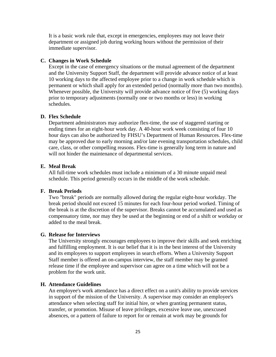It is a basic work rule that, except in emergencies, employees may not leave their department or assigned job during working hours without the permission of their immediate supervisor.

#### <span id="page-28-0"></span>**C. Changes in Work Schedule**

Except in the case of emergency situations or the mutual agreement of the department and the University Support Staff, the department will provide advance notice of at least 10 working days to the affected employee prior to a change in work schedule which is permanent or which shall apply for an extended period (normally more than two months). Whenever possible, the University will provide advance notice of five (5) working days prior to temporary adjustments (normally one or two months or less) in working schedules.

#### <span id="page-28-1"></span>**D. Flex Schedule**

Department administrators may authorize flex-time, the use of staggered starting or ending times for an eight-hour work day. A 40-hour work week consisting of four 10 hour days can also be authorized by FHSU's Department of Human Resources. Flex-time may be approved due to early morning and/or late evening transportation schedules, child care, class, or other compelling reasons. Flex-time is generally long term in nature and will not hinder the maintenance of departmental services.

#### <span id="page-28-2"></span>**E. Meal Break**

All full-time work schedules must include a minimum of a 30 minute unpaid meal schedule. This period generally occurs in the middle of the work schedule.

#### <span id="page-28-3"></span>**F. Break Periods**

Two "break" periods are normally allowed during the regular eight-hour workday. The break period should not exceed 15 minutes for each four-hour period worked. Timing of the break is at the discretion of the supervisor. Breaks cannot be accumulated and used as compensatory time, nor may they be used at the beginning or end of a shift or workday or added to the meal break.

#### <span id="page-28-5"></span><span id="page-28-4"></span>**G. Release for Interviews**

The University strongly encourages employees to improve their skills and seek enriching and fulfilling employment. It is our belief that it is in the best interest of the University and its employees to support employees in search efforts. When a University Support Staff member is offered an on-campus interview, the staff member may be granted release time if the employee and supervisor can agree on a time which will not be a problem for the work unit.

#### **H. Attendance Guidelines**

An employee's work attendance has a direct effect on a unit's ability to provide services in support of the mission of the University. A supervisor may consider an employee's attendance when selecting staff for initial hire, or when granting permanent status, transfer, or promotion. Misuse of leave privileges, excessive leave use, unexcused absences, or a pattern of failure to report for or remain at work may be grounds for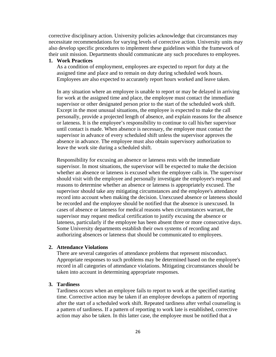corrective disciplinary action. University policies acknowledge that circumstances may necessitate recommendations for varying levels of corrective action. University units may also develop specific procedures to implement these guidelines within the framework of their unit mission. Departments should communicate any such procedures to employees.

#### <span id="page-29-0"></span>**1. Work Practices**

As a condition of employment, employees are expected to report for duty at the assigned time and place and to remain on duty during scheduled work hours. Employees are also expected to accurately report hours worked and leave taken.

In any situation where an employee is unable to report or may be delayed in arriving for work at the assigned time and place, the employee must contact the immediate supervisor or other designated person prior to the start of the scheduled work shift. Except in the most unusual situations, the employee is expected to make the call personally, provide a projected length of absence, and explain reasons for the absence or lateness. It is the employee's responsibility to continue to call his/her supervisor until contact is made. When absence is necessary, the employee must contact the supervisor in advance of every scheduled shift unless the supervisor approves the absence in advance. The employee must also obtain supervisory authorization to leave the work site during a scheduled shift.

Responsibility for excusing an absence or lateness rests with the immediate supervisor. In most situations, the supervisor will be expected to make the decision whether an absence or lateness is excused when the employee calls in. The supervisor should visit with the employee and personally investigate the employee's request and reasons to determine whether an absence or lateness is appropriately excused. The supervisor should take any mitigating circumstances and the employee's attendance record into account when making the decision. Unexcused absence or lateness should be recorded and the employee should be notified that the absence is unexcused. In cases of absence or lateness for medical reasons when circumstances warrant, the supervisor may request medical certification to justify excusing the absence or lateness, particularly if the employee has been absent three or more consecutive days. Some University departments establish their own systems of recording and authorizing absences or lateness that should be communicated to employees.

#### <span id="page-29-2"></span><span id="page-29-1"></span>**2. Attendance Violations**

There are several categories of attendance problems that represent misconduct. Appropriate responses to such problems may be determined based on the employee's record in all categories of attendance violations. Mitigating circumstances should be taken into account in determining appropriate responses.

#### **3. Tardiness**

Tardiness occurs when an employee fails to report to work at the specified starting time. Corrective action may be taken if an employee develops a pattern of reporting after the start of a scheduled work shift. Repeated tardiness after verbal counseling is a pattern of tardiness. If a pattern of reporting to work late is established, corrective action may also be taken. In this latter case, the employee must be notified that a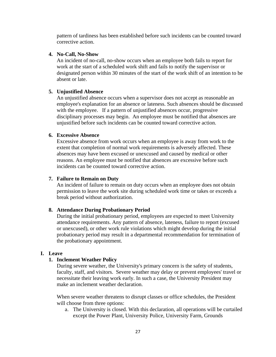pattern of tardiness has been established before such incidents can be counted toward corrective action.

#### <span id="page-30-0"></span>**4. No-Call, No-Show**

An incident of no-call, no-show occurs when an employee both fails to report for work at the start of a scheduled work shift and fails to notify the supervisor or designated person within 30 minutes of the start of the work shift of an intention to be absent or late.

#### <span id="page-30-1"></span>**5. Unjustified Absence**

An unjustified absence occurs when a supervisor does not accept as reasonable an employee's explanation for an absence or lateness. Such absences should be discussed with the employee. If a pattern of unjustified absences occur, progressive disciplinary processes may begin. An employee must be notified that absences are unjustified before such incidents can be counted toward corrective action.

#### <span id="page-30-2"></span>**6. Excessive Absence**

Excessive absence from work occurs when an employee is away from work to the extent that completion of normal work requirements is adversely affected. These absences may have been excused or unexcused and caused by medical or other reasons. An employee must be notified that absences are excessive before such incidents can be counted toward corrective action.

#### <span id="page-30-3"></span>**7. Failure to Remain on Duty**

An incident of failure to remain on duty occurs when an employee does not obtain permission to leave the work site during scheduled work time or takes or exceeds a break period without authorization.

#### <span id="page-30-4"></span>**8. Attendance During Probationary Period**

During the initial probationary period, employees are expected to meet University attendance requirements. Any pattern of absence, lateness, failure to report (excused or unexcused), or other work rule violations which might develop during the initial probationary period may result in a departmental recommendation for termination of the probationary appointment.

#### <span id="page-30-5"></span>**I. Leave**

#### **1. Inclement Weather Policy**

During severe weather, the University's primary concern is the safety of students, faculty, staff, and visitors. Severe weather may delay or prevent employees' travel or necessitate their leaving work early. In such a case, the University President may make an inclement weather declaration.

When severe weather threatens to disrupt classes or office schedules, the President will choose from three options:

a. The University is closed. With this declaration, all operations will be curtailed except the Power Plant, University Police, University Farm, Grounds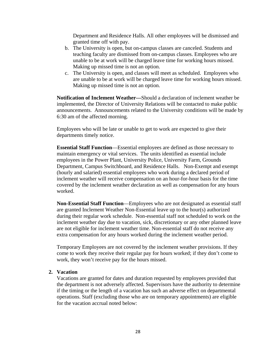Department and Residence Halls. All other employees will be dismissed and granted time off with pay.

- b. The University is open, but on-campus classes are canceled. Students and teaching faculty are dismissed from on-campus classes. Employees who are unable to be at work will be charged leave time for working hours missed. Making up missed time is not an option.
- c. The University is open, and classes will meet as scheduled. Employees who are unable to be at work will be charged leave time for working hours missed. Making up missed time is not an option.

**Notification of Inclement Weather—**Should a declaration of inclement weather be implemented, the Director of University Relations will be contacted to make public announcements. Announcements related to the University conditions will be made by 6:30 am of the affected morning.

Employees who will be late or unable to get to work are expected to give their departments timely notice.

**Essential Staff Function**—Essential employees are defined as those necessary to maintain emergency or vital services. The units identified as essential include employees in the Power Plant, University Police, University Farm, Grounds Department, Campus Switchboard, and Residence Halls. Non-Exempt and exempt (hourly and salaried) essential employees who work during a declared period of inclement weather will receive compensation on an hour-for-hour basis for the time covered by the inclement weather declaration as well as compensation for any hours worked.

**Non-Essential Staff Function**—Employees who are not designated as essential staff are granted Inclement Weather Non-Essential leave up to the hour(s) authorized during their regular work schedule. Non-essential staff not scheduled to work on the inclement weather day due to vacation, sick, discretionary or any other planned leave are not eligible for inclement weather time. Non-essential staff do not receive any extra compensation for any hours worked during the inclement weather period.

Temporary Employees are not covered by the inclement weather provisions. If they come to work they receive their regular pay for hours worked; if they don't come to work, they won't receive pay for the hours missed.

#### <span id="page-31-0"></span>**2. Vacation**

Vacations are granted for dates and duration requested by employees provided that the department is not adversely affected. Supervisors have the authority to determine if the timing or the length of a vacation has such an adverse effect on departmental operations. Staff (excluding those who are on temporary appointments) are eligible for the vacation accrual noted below: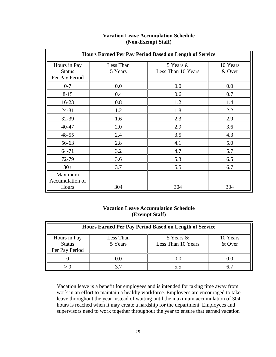| Hours Earned Per Pay Period Based on Length of Service |                      |                                 |                    |
|--------------------------------------------------------|----------------------|---------------------------------|--------------------|
| Hours in Pay<br><b>Status</b><br>Per Pay Period        | Less Than<br>5 Years | 5 Years &<br>Less Than 10 Years | 10 Years<br>& Over |
| $0 - 7$                                                | 0.0                  | 0.0                             | 0.0                |
| $8 - 15$                                               | 0.4                  | 0.6                             | 0.7                |
| $16-23$                                                | 0.8                  | 1.2                             | 1.4                |
| $24 - 31$                                              | 1.2                  | 1.8                             | 2.2                |
| 32-39                                                  | 1.6                  | 2.3                             | 2.9                |
| 40-47                                                  | 2.0                  | 2.9                             | 3.6                |
| 48-55                                                  | 2.4                  | 3.5                             | 4.3                |
| 56-63                                                  | 2.8                  | 4.1                             | 5.0                |
| 64-71                                                  | 3.2                  | 4.7                             | 5.7                |
| 72-79                                                  | 3.6                  | 5.3                             | 6.5                |
| $80+$                                                  | 3.7                  | 5.5                             | 6.7                |
| Maximum<br>Accumulation of<br>Hours                    | 304                  | 304                             | 304                |

#### **Vacation Leave Accumulation Schedule (Non-Exempt Staff)**

#### **Vacation Leave Accumulation Schedule (Exempt Staff)**

| Hours Earned Per Pay Period Based on Length of Service |                      |                                 |                    |
|--------------------------------------------------------|----------------------|---------------------------------|--------------------|
| Hours in Pay<br><b>Status</b><br>Per Pay Period        | Less Than<br>5 Years | 5 Years &<br>Less Than 10 Years | 10 Years<br>& Over |
|                                                        | 0.0                  | () ()                           | ( ) ( )            |
|                                                        |                      |                                 |                    |

Vacation leave is a benefit for employees and is intended for taking time away from work in an effort to maintain a healthy workforce. Employees are encouraged to take leave throughout the year instead of waiting until the maximum accumulation of 304 hours is reached when it may create a hardship for the department. Employees and supervisors need to work together throughout the year to ensure that earned vacation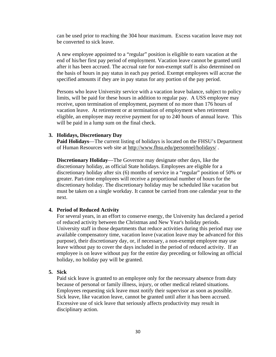can be used prior to reaching the 304 hour maximum. Excess vacation leave may not be converted to sick leave.

A new employee appointed to a "regular" position is eligible to earn vacation at the end of his/her first pay period of employment. Vacation leave cannot be granted until after it has been accrued. The accrual rate for non-exempt staff is also determined on the basis of hours in pay status in each pay period. Exempt employees will accrue the specified amounts if they are in pay status for any portion of the pay period.

Persons who leave University service with a vacation leave balance, subject to policy limits, will be paid for these hours in addition to regular pay. A USS employee may receive, upon termination of employment, payment of no more than 176 hours of vacation leave. At retirement or at termination of employment when retirement eligible, an employee may receive payment for up to 240 hours of annual leave. This will be paid in a lump sum on the final check.

#### <span id="page-33-0"></span>**3. Holidays, Discretionary Day**

**Paid Holidays**—The current listing of holidays is located on the FHSU's Department of Human Resources web site at http://www.fhsu.edu/personnel/holidays/ .

**Discretionary Holiday**—The Governor may designate other days, like the discretionary holiday, as official State holidays. Employees are eligible for a discretionary holiday after six (6) months of service in a "regular" position of 50% or greater. Part-time employees will receive a proportional number of hours for the discretionary holiday. The discretionary holiday may be scheduled like vacation but must be taken on a single workday. It cannot be carried from one calendar year to the next.

#### <span id="page-33-1"></span>**4. Period of Reduced Activity**

For several years, in an effort to conserve energy, the University has declared a period of reduced activity between the Christmas and New Year's holiday periods. University staff in those departments that reduce activities during this period may use available compensatory time, vacation leave (vacation leave may be advanced for this purpose), their discretionary day, or, if necessary, a non-exempt employee may use leave without pay to cover the days included in the period of reduced activity. If an employee is on leave without pay for the entire day preceding or following an official holiday, no holiday pay will be granted.

#### <span id="page-33-2"></span>**5. Sick**

Paid sick leave is granted to an employee only for the necessary absence from duty because of personal or family illness, injury, or other medical related situations. Employees requesting sick leave must notify their supervisor as soon as possible. Sick leave, like vacation leave, cannot be granted until after it has been accrued. Excessive use of sick leave that seriously affects productivity may result in disciplinary action.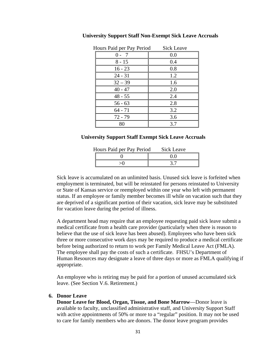| Hours Paid per Pay Period | <b>Sick Leave</b> |
|---------------------------|-------------------|
|                           | 0.0               |
| $8 - 15$                  | 0.4               |
| $16 - 23$                 | 0.8               |
| $24 - 31$                 | 1.2               |
| $32 - 39$                 | 1.6               |
| $40 - 47$                 | 2.0               |
| $48 - 55$                 | 2.4               |
| $56 - 63$                 | 2.8               |
| $64 - 71$                 | 3.2               |
| $72 - 79$                 | 3.6               |
| 80                        | 3.7               |

**University Support Staff Non-Exempt Sick Leave Accruals** 

#### **University Support Staff Exempt Sick Leave Accruals**

| Hours Paid per Pay Period | Sick Leave |
|---------------------------|------------|
|                           |            |
|                           |            |

Sick leave is accumulated on an unlimited basis. Unused sick leave is forfeited when employment is terminated, but will be reinstated for persons reinstated to University or State of Kansas service or reemployed within one year who left with permanent status. If an employee or family member becomes ill while on vacation such that they are deprived of a significant portion of their vacation, sick leave may be substituted for vacation leave during the period of illness.

A department head may require that an employee requesting paid sick leave submit a medical certificate from a health care provider (particularly when there is reason to believe that the use of sick leave has been abused). Employees who have been sick three or more consecutive work days may be required to produce a medical certificate before being authorized to return to work per Family Medical Leave Act (FMLA). The employee shall pay the costs of such a certificate. FHSU's Department of Human Resources may designate a leave of three days or more as FMLA qualifying if appropriate.

An employee who is retiring may be paid for a portion of unused accumulated sick leave. (See Section V.6. Retirement.)

#### <span id="page-34-0"></span>**6. Donor Leave**

**Donor Leave for Blood, Organ, Tissue, and Bone Marrow**—Donor leave is available to faculty, unclassified administrative staff, and University Support Staff with active appointments of 50% or more to a "regular" position. It may not be used to care for family members who are donors. The donor leave program provides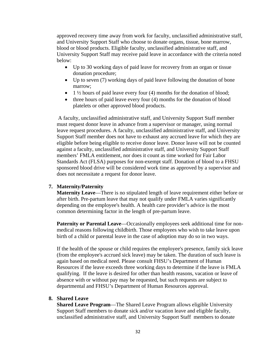approved recovery time away from work for faculty, unclassified administrative staff, and University Support Staff who choose to donate organs, tissue, bone marrow, blood or blood products. Eligible faculty, unclassified administrative staff, and University Support Staff may receive paid leave in accordance with the criteria noted below:

- Up to 30 working days of paid leave for recovery from an organ or tissue donation procedure;
- Up to seven (7) working days of paid leave following the donation of bone marrow;
- $\bullet$  1  $\frac{1}{2}$  hours of paid leave every four (4) months for the donation of blood;
- $\bullet$  three hours of paid leave every four (4) months for the donation of blood platelets or other approved blood products.

 A faculty, unclassified administrative staff, and University Support Staff member must request donor leave in advance from a supervisor or manager, using normal leave request procedures. A faculty, unclassified administrative staff, and University Support Staff member does not have to exhaust any accrued leave for which they are eligible before being eligible to receive donor leave. Donor leave will not be counted against a faculty, unclassified administrative staff, and University Support Staff members' FMLA entitlement, nor does it count as time worked for Fair Labor Standards Act (FLSA) purposes for non-exempt staff. Donation of blood to a FHSU sponsored blood drive will be considered work time as approved by a supervisor and does not necessitate a request for donor leave.

#### <span id="page-35-0"></span>**7. Maternity/Paternity**

**Maternity Leave**—There is no stipulated length of leave requirement either before or after birth. Pre-partum leave that may not qualify under FMLA varies significantly depending on the employee's health. A health care provider's advice is the most common determining factor in the length of pre-partum leave.

**Paternity or Parental Leave—Occasionally employees seek additional time for non**medical reasons following childbirth. Those employees who wish to take leave upon birth of a child or parental leave in the case of adoption may do so in two ways.

<span id="page-35-1"></span>If the health of the spouse or child requires the employee's presence, family sick leave (from the employee's accrued sick leave) may be taken. The duration of such leave is again based on medical need. Please consult FHSU's Department of Human Resources if the leave exceeds three working days to determine if the leave is FMLA qualifying. If the leave is desired for other than health reasons, vacation or leave of absence with or without pay may be requested, but such requests are subject to departmental and FHSU's Department of Human Resources approval.

#### **8. Shared Leave**

**Shared Leave Program**—The Shared Leave Program allows eligible University Support Staff members to donate sick and/or vacation leave and eligible faculty, unclassified administrative staff, and University Support Staff members to donate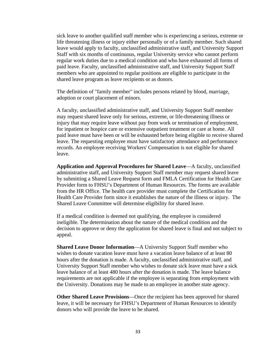sick leave to another qualified staff member who is experiencing a serious, extreme or life threatening illness or injury either personally or of a family member. Such shared leave would apply to faculty, unclassified administrative staff, and University Support Staff with six months of continuous, regular University service who cannot perform regular work duties due to a medical condition and who have exhausted all forms of paid leave. Faculty, unclassified administrative staff, and University Support Staff members who are appointed to regular positions are eligible to participate in the shared leave program as leave recipients or as donors.

The definition of "family member" includes persons related by blood, marriage, adoption or court placement of minors.

A faculty, unclassified administrative staff, and University Support Staff member may request shared leave only for serious, extreme, or life-threatening illness or injury that may require leave without pay from work or termination of employment, for inpatient or hospice care or extensive outpatient treatment or care at home. All paid leave must have been or will be exhausted before being eligible to receive shared leave. The requesting employee must have satisfactory attendance and performance records. An employee receiving Workers' Compensation is not eligible for shared leave.

**Application and Approval Procedures for Shared Leave**—A faculty, unclassified administrative staff, and University Support Staff member may request shared leave by submitting a Shared Leave Request form and FMLA Certification for Health Care Provider form to FHSU's Department of Human Resources. The forms are available from the HR Office. The health care provider must complete the Certification for Health Care Provider form since it establishes the nature of the illness or injury. The Shared Leave Committee will determine eligibility for shared leave.

If a medical condition is deemed not qualifying, the employee is considered ineligible. The determination about the nature of the medical condition and the decision to approve or deny the application for shared leave is final and not subject to appeal.

**Shared Leave Donor Information**—A University Support Staff member who wishes to donate vacation leave must have a vacation leave balance of at least 80 hours after the donation is made. A faculty, unclassified administrative staff, and University Support Staff member who wishes to donate sick leave must have a sick leave balance of at least 480 hours after the donation is made. The leave balance requirements are not applicable if the employee is separating from employment with the University. Donations may be made to an employee in another state agency.

**Other Shared Leave Provisions**—Once the recipient has been approved for shared leave, it will be necessary for FHSU's Department of Human Resources to identify donors who will provide the leave to be shared.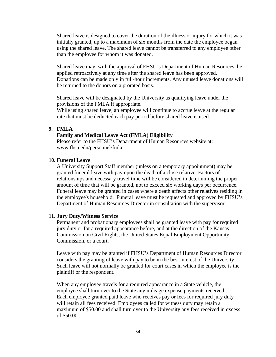Shared leave is designed to cover the duration of the illness or injury for which it was initially granted, up to a maximum of six months from the date the employee began using the shared leave. The shared leave cannot be transferred to any employee other than the employee for whom it was donated.

Shared leave may, with the approval of FHSU's Department of Human Resources, be applied retroactively at any time after the shared leave has been approved. Donations can be made only in full-hour increments. Any unused leave donations will be returned to the donors on a prorated basis.

Shared leave will be designated by the University as qualifying leave under the provisions of the FMLA if appropriate.

While using shared leave, an employee will continue to accrue leave at the regular rate that must be deducted each pay period before shared leave is used.

#### <span id="page-37-0"></span>**9. FMLA**

#### **Family and Medical Leave Act (FMLA) Eligibility**

Please refer to the FHSU's Department of Human Resources website at: www.fhsu.edu/personnel/fmla

#### <span id="page-37-1"></span>**10. Funeral Leave**

A University Support Staff member (unless on a temporary appointment) may be granted funeral leave with pay upon the death of a close relative. Factors of relationships and necessary travel time will be considered in determining the proper amount of time that will be granted, not to exceed six working days per occurrence. Funeral leave may be granted in cases where a death affects other relatives residing in the employee's household. Funeral leave must be requested and approved by FHSU's Department of Human Resources Director in consultation with the supervisor.

#### <span id="page-37-2"></span>**11. Jury Duty/Witness Service**

Permanent and probationary employees shall be granted leave with pay for required jury duty or for a required appearance before, and at the direction of the Kansas Commission on Civil Rights, the United States Equal Employment Opportunity Commission, or a court.

Leave with pay may be granted if FHSU's Department of Human Resources Director considers the granting of leave with pay to be in the best interest of the University. Such leave will not normally be granted for court cases in which the employee is the plaintiff or the respondent.

When any employee travels for a required appearance in a State vehicle, the employee shall turn over to the State any mileage expense payments received. Each employee granted paid leave who receives pay or fees for required jury duty will retain all fees received. Employees called for witness duty may retain a maximum of \$50.00 and shall turn over to the University any fees received in excess of \$50.00.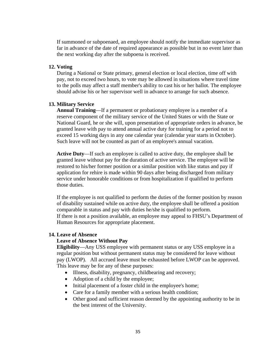If summoned or subpoenaed, an employee should notify the immediate supervisor as far in advance of the date of required appearance as possible but in no event later than the next working day after the subpoena is received.

#### <span id="page-38-0"></span>**12. Voting**

During a National or State primary, general election or local election, time off with pay, not to exceed two hours, to vote may be allowed in situations where travel time to the polls may affect a staff member's ability to cast his or her ballot. The employee should advise his or her supervisor well in advance to arrange for such absence.

#### <span id="page-38-1"></span>**13. Military Service**

**Annual Training**—If a permanent or probationary employee is a member of a reserve component of the military service of the United States or with the State or National Guard, he or she will, upon presentation of appropriate orders in advance, be granted leave with pay to attend annual active duty for training for a period not to exceed 15 working days in any one calendar year (calendar year starts in October). Such leave will not be counted as part of an employee's annual vacation.

**Active Duty**—If such an employee is called to active duty, the employee shall be granted leave without pay for the duration of active service. The employee will be restored to his/her former position or a similar position with like status and pay if application for rehire is made within 90 days after being discharged from military service under honorable conditions or from hospitalization if qualified to perform those duties.

If the employee is not qualified to perform the duties of the former position by reason of disability sustained while on active duty, the employee shall be offered a position comparable in status and pay with duties he/she is qualified to perform. If there is not a position available, an employee may appeal to FHSU's Department of Human Resources for appropriate placement.

#### <span id="page-38-2"></span>**14. Leave of Absence**

#### **Leave of Absence Without Pay**

**Eligibility**—Any USS employee with permanent status or any USS employee in a regular position but without permanent status may be considered for leave without pay (LWOP). All accrued leave must be exhausted before LWOP can be approved. This leave may be for any of these purposes:

- Illness, disability, pregnancy, childbearing and recovery;
- Adoption of a child by the employee;
- Initial placement of a foster child in the employee's home;
- Care for a family member with a serious health condition;
- Other good and sufficient reason deemed by the appointing authority to be in the best interest of the University.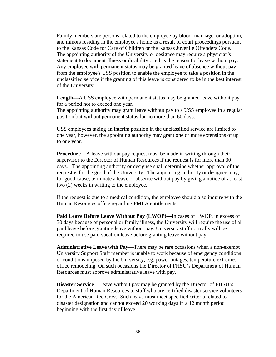Family members are persons related to the employee by blood, marriage, or adoption, and minors residing in the employee's home as a result of court proceedings pursuant to the Kansas Code for Care of Children or the Kansas Juvenile Offenders Code. The appointing authority of the University or designee may require a physician's statement to document illness or disability cited as the reason for leave without pay. Any employee with permanent status may be granted leave of absence without pay from the employee's USS position to enable the employee to take a position in the unclassified service if the granting of this leave is considered to be in the best interest of the University.

**Length**—A USS employee with permanent status may be granted leave without pay for a period not to exceed one year.

The appointing authority may grant leave without pay to a USS employee in a regular position but without permanent status for no more than 60 days.

USS employees taking an interim position in the unclassified service are limited to one year, however, the appointing authority may grant one or more extensions of up to one year.

**Procedure—A** leave without pay request must be made in writing through their supervisor to the Director of Human Resources if the request is for more than 30 days. The appointing authority or designee shall determine whether approval of the request is for the good of the University. The appointing authority or designee may, for good cause, terminate a leave of absence without pay by giving a notice of at least two (2) weeks in writing to the employee.

If the request is due to a medical condition, the employee should also inquire with the Human Resources office regarding FMLA entitlements

**Paid Leave Before Leave Without Pay (LWOP)—**In cases of LWOP, in excess of 30 days because of personal or family illness, the University will require the use of all paid leave before granting leave without pay. University staff normally will be required to use paid vacation leave before granting leave without pay.

**Administrative Leave with Pay**—There may be rare occasions when a non-exempt University Support Staff member is unable to work because of emergency conditions or conditions imposed by the University, e.g. power outages, temperature extremes, office remodeling. On such occasions the Director of FHSU's Department of Human Resources must approve administrative leave with pay.

**Disaster Service**—Leave without pay may be granted by the Director of FHSU's Department of Human Resources to staff who are certified disaster service volunteers for the American Red Cross. Such leave must meet specified criteria related to disaster designation and cannot exceed 20 working days in a 12 month period beginning with the first day of leave.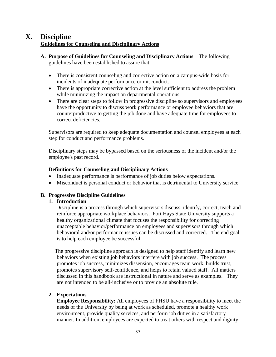## <span id="page-40-1"></span><span id="page-40-0"></span>**X. Discipline**

#### **Guidelines for Counseling and Disciplinary Actions**

- **A. Purpose of Guidelines for Counseling and Disciplinary Actions**—The following guidelines have been established to assure that:
	- There is consistent counseling and corrective action on a campus-wide basis for incidents of inadequate performance or misconduct.
	- There is appropriate corrective action at the level sufficient to address the problem while minimizing the impact on departmental operations.
	- There are clear steps to follow in progressive discipline so supervisors and employees have the opportunity to discuss work performance or employee behaviors that are counterproductive to getting the job done and have adequate time for employees to correct deficiencies.

Supervisors are required to keep adequate documentation and counsel employees at each step for conduct and performance problems.

Disciplinary steps may be bypassed based on the seriousness of the incident and/or the employee's past record.

#### **Definitions for Counseling and Disciplinary Actions**

- Inadequate performance is performance of job duties below expectations.
- Misconduct is personal conduct or behavior that is detrimental to University service.

## <span id="page-40-4"></span><span id="page-40-3"></span><span id="page-40-2"></span>**B. Progressive Discipline Guidelines**

#### **1. Introduction**

 Discipline is a process through which supervisors discuss, identify, correct, teach and reinforce appropriate workplace behaviors. Fort Hays State University supports a healthy organizational climate that focuses the responsibility for correcting unacceptable behavior/performance on employees and supervisors through which behavioral and/or performance issues can be discussed and corrected. The end goal is to help each employee be successful.

The progressive discipline approach is designed to help staff identify and learn new behaviors when existing job behaviors interfere with job success. The process promotes job success, minimizes dissension, encourages team work, builds trust, promotes supervisory self-confidence, and helps to retain valued staff. All matters discussed in this handbook are instructional in nature and serve as examples. They are not intended to be all-inclusive or to provide an absolute rule.

#### **2. Expectations**

**Employee Responsibility:** All employees of FHSU have a responsibility to meet the needs of the University by being at work as scheduled, promote a healthy work environment, provide quality services, and perform job duties in a satisfactory manner. In addition, employees are expected to treat others with respect and dignity.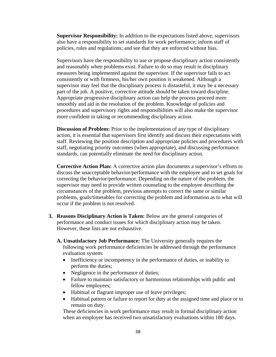**Supervisor Responsibility:** In addition to the expectations listed above, supervisors also have a responsibility to set standards for work performance; inform staff of policies, rules and regulations; and see that they are enforced without bias.

Supervisors have the responsibility to use or propose disciplinary action consistently and reasonably when problems exist. Failure to do so may result in disciplinary measures being implemented against the supervisor. If the supervisor fails to act consistently or with firmness, his/her own position is weakened. Although a supervisor may feel that the disciplinary process is distasteful, it may be a necessary part of the job. A positive, corrective attitude should be taken toward discipline. Appropriate progressive disciplinary action can help the process proceed more smoothly and aid in the resolution of the problem. Knowledge of policies and procedures and supervisory rights and responsibilities will also make the supervisor more confident in taking or recommending disciplinary action.

**Discussion of Problem:** Prior to the implementation of any type of disciplinary action, it is essential that supervisors first identify and discuss their expectations with staff. Reviewing the position description and appropriate policies and procedures with staff, negotiating priority outcomes (when appropriate), and discussing performance standards, can potentially eliminate the need for disciplinary action.

**Corrective Action Plan:** A corrective action plan documents a supervisor's efforts to discuss the unacceptable behavior/performance with the employee and to set goals for correcting the behavior/performance. Depending on the nature of the problem, the supervisor may need to provide written counseling to the employee describing the circumstances of the problem, previous attempts to correct the same or similar problems, goals/timetables for correcting the problem and information as to what will occur if the problem is not resolved.

- <span id="page-41-1"></span><span id="page-41-0"></span>**3. Reasons Disciplinary Action is Taken:** Below are the general categories of performance and conduct issues for which disciplinary action may be taken. However, these lists are not exhaustive.
	- **A. Unsatisfactory Job Performance:** The University generally requires the following work performance deficiencies be addressed through the performance evaluation system:
		- Inefficiency or incompetency in the performance of duties, or inability to perform the duties;
		- Negligence in the performance of duties;
		- Failure to maintain satisfactory or harmonious relationships with public and fellow employees;
		- Habitual or flagrant improper use of leave privileges;
		- Habitual pattern or failure to report for duty at the assigned time and place or to remain on duty.

These deficiencies in work performance may result in formal disciplinary action when an employee has received two unsatisfactory evaluations within 180 days.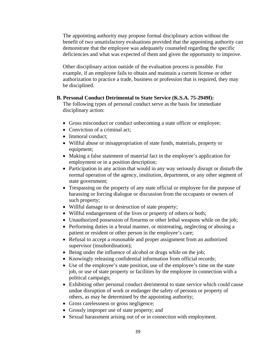The appointing authority may propose formal disciplinary action without the benefit of two unsatisfactory evaluations provided that the appointing authority can demonstrate that the employee was adequately counseled regarding the specific deficiencies and what was expected of them and given the opportunity to improve.

Other disciplinary action outside of the evaluation process is possible. For example, if an employee fails to obtain and maintain a current license or other authorization to practice a trade, business or profession that is required, they may be disciplined.

#### <span id="page-42-0"></span>**B. Personal Conduct Detrimental to State Service (K.S.A. 75-2949f):**

The following types of personal conduct serve as the basis for immediate disciplinary action:

- Gross misconduct or conduct unbecoming a state officer or employee;
- Conviction of a criminal act:
- Immoral conduct;
- Willful abuse or misappropriation of state funds, materials, property or equipment;
- Making a false statement of material fact in the employee's application for employment or in a position description;
- Participation in any action that would in any way seriously disrupt or disturb the normal operation of the agency, institution, department, or any other segment of state government;
- Trespassing on the property of any state official or employee for the purpose of harassing or forcing dialogue or discussion from the occupants or owners of such property;
- Willful damage to or destruction of state property;
- Willful endangerment of the lives or property of others or both;
- Unauthorized possession of firearms or other lethal weapons while on the job;
- Performing duties in a brutal manner, or mistreating, neglecting or abusing a patient or resident or other person in the employee's care;
- Refusal to accept a reasonable and proper assignment from an authorized supervisor (insubordination);
- Being under the influence of alcohol or drugs while on the job;
- Knowingly releasing confidential information from official records;
- Use of the employee's state position, use of the employee's time on the state job, or use of state property or facilities by the employee in connection with a political campaign;
- Exhibiting other personal conduct detrimental to state service which could cause undue disruption of work or endanger the safety of persons or property of others, as may be determined by the appointing authority;
- Gross carelessness or gross negligence;
- Grossly improper use of state property; and
- Sexual harassment arising out of or in connection with employment.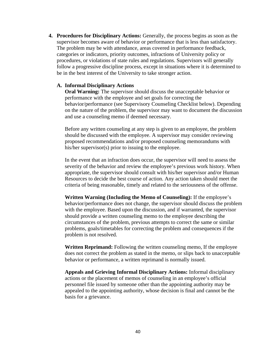<span id="page-43-1"></span><span id="page-43-0"></span>**4. Procedures for Disciplinary Actions:** Generally, the process begins as soon as the supervisor becomes aware of behavior or performance that is less than satisfactory. The problem may be with attendance, areas covered in performance feedback, categories or indicators, priority outcomes, infractions of University policy or procedures, or violations of state rules and regulations. Supervisors will generally follow a progressive discipline process, except in situations where it is determined to be in the best interest of the University to take stronger action.

#### **A. Informal Disciplinary Actions**

**Oral Warning:** The supervisor should discuss the unacceptable behavior or performance with the employee and set goals for correcting the behavior/performance (see Supervisory Counseling Checklist below). Depending on the nature of the problem, the supervisor may want to document the discussion and use a counseling memo if deemed necessary.

Before any written counseling at any step is given to an employee, the problem should be discussed with the employee. A supervisor may consider reviewing proposed recommendations and/or proposed counseling memorandums with his/her supervisor(s) prior to issuing to the employee.

In the event that an infraction does occur, the supervisor will need to assess the severity of the behavior and review the employee's previous work history. When appropriate, the supervisor should consult with his/her supervisor and/or Human Resources to decide the best course of action. Any action taken should meet the criteria of being reasonable, timely and related to the seriousness of the offense.

**Written Warning (Including the Memo of Counseling):** If the employee's behavior/performance does not change, the supervisor should discuss the problem with the employee. Based upon the discussion, and if warranted, the supervisor should provide a written counseling memo to the employee describing the circumstances of the problem, previous attempts to correct the same or similar problems, goals/timetables for correcting the problem and consequences if the problem is not resolved.

**Written Reprimand:** Following the written counseling memo, If the employee does not correct the problem as stated in the memo, or slips back to unacceptable behavior or performance, a written reprimand is normally issued.

**Appeals and Grieving Informal Disciplinary Actions:** Informal disciplinary actions or the placement of memos of counseling in an employee's official personnel file issued by someone other than the appointing authority may be appealed to the appointing authority, whose decision is final and cannot be the basis for a grievance.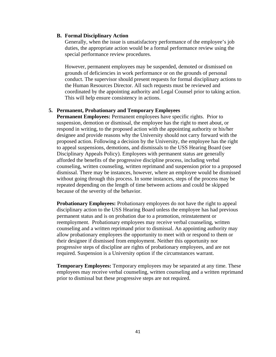#### <span id="page-44-0"></span>**B. Formal Disciplinary Action**

 Generally, when the issue is unsatisfactory performance of the employee's job duties, the appropriate action would be a formal performance review using the special performance review procedures.

However, permanent employees may be suspended, demoted or dismissed on grounds of deficiencies in work performance or on the grounds of personal conduct. The supervisor should present requests for formal disciplinary actions to the Human Resources Director. All such requests must be reviewed and coordinated by the appointing authority and Legal Counsel prior to taking action. This will help ensure consistency in actions.

#### <span id="page-44-1"></span>**5. Permanent, Probationary and Temporary Employees**

**Permanent Employees:** Permanent employees have specific rights. Prior to suspension, demotion or dismissal, the employee has the right to meet about, or respond in writing, to the proposed action with the appointing authority or his/her designee and provide reasons why the University should not carry forward with the proposed action. Following a decision by the University, the employee has the right to appeal suspensions, demotions, and dismissals to the USS Hearing Board (see Disciplinary Appeals Policy). Employees with permanent status are generally afforded the benefits of the progressive discipline process, including verbal counseling, written counseling, written reprimand and suspension prior to a proposed dismissal. There may be instances, however, where an employee would be dismissed without going through this process. In some instances, steps of the process may be repeated depending on the length of time between actions and could be skipped because of the severity of the behavior.

**Probationary Employees:** Probationary employees do not have the right to appeal disciplinary action to the USS Hearing Board unless the employee has had previous permanent status and is on probation due to a promotion, reinstatement or reemployment. Probationary employees may receive verbal counseling, written counseling and a written reprimand prior to dismissal. An appointing authority may allow probationary employees the opportunity to meet with or respond to them or their designee if dismissed from employment. Neither this opportunity nor progressive steps of discipline are rights of probationary employees, and are not required. Suspension is a University option if the circumstances warrant.

**Temporary Employees:** Temporary employees may be separated at any time. These employees may receive verbal counseling, written counseling and a written reprimand prior to dismissal but these progressive steps are not required.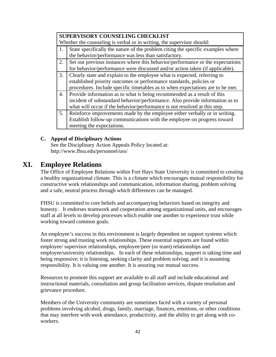|    | SUPERVISORY COUNSELING CHECKLIST                                                |
|----|---------------------------------------------------------------------------------|
|    | Whether the counseling is verbal or in writing, the supervisor should:          |
| 1. | State specifically the nature of the problem citing the specific examples where |
|    | the behavior/performance was less than satisfactory.                            |
| 2. | Set out previous instances where this behavior/performance or the expectations  |
|    | for behavior/performance were discussed and/or action taken (if applicable).    |
| 3. | Clearly state and explain to the employee what is expected, referring to        |
|    | established priority outcomes or performance standards, policies or             |
|    | procedures. Include specific timetables as to when expectations are to be met.  |
| 4. | Provide information as to what is being recommended as a result of this         |
|    | incident of substandard behavior/performance. Also provide information as to    |
|    | what will occur if the behavior/performance is not resolved at this step.       |
| 5. | Reinforce improvements made by the employee either verbally or in writing.      |
|    | Establish follow-up communications with the employee on progress toward         |
|    | meeting the expectations.                                                       |

#### **C. Appeal of Disciplinary Actions**

See the Disciplinary Action Appeals Policy located at: http://www.fhsu.edu/personnel/uss/

## <span id="page-45-1"></span><span id="page-45-0"></span>**XI. Employee Relations**

The Office of Employee Relations within Fort Hays State University is committed to creating a healthy organizational climate. This is a climate which encourages mutual responsibility for constructive work relationships and communication, information sharing, problem solving and a safe, neutral process through which differences can be managed.

FHSU is committed to core beliefs and accompanying behaviors based on integrity and honesty. It endorses teamwork and cooperation among organizational units, and encourages staff at all levels to develop processes which enable one another to experience trust while working toward common goals.

An employee's success in this environment is largely dependent on support systems which foster strong and trusting work relationships. These essential supports are found within employee/ supervisor relationships, employee/peer (or team) relationships and employee/university relationships. In each of these relationships, support is taking time and being responsive; it is listening, seeking clarity and problem solving; and it is assuming responsibility. It is valuing one another. It is assuring our mutual success.

Resources to promote this support are available to all staff and include educational and instructional materials, consultation and group facilitation services, dispute resolution and grievance procedure.

Members of the University community are sometimes faced with a variety of personal problems involving alcohol, drugs, family, marriage, finances, emotions, or other conditions that may interfere with work attendance, productivity, and the ability to get along with coworkers.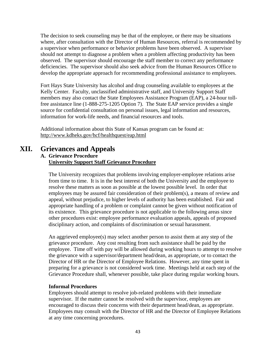The decision to seek counseling may be that of the employee, or there may be situations where, after consultation with the Director of Human Resources, referral is recommended by a supervisor when performance or behavior problems have been observed. A supervisor should not attempt to diagnose a problem when a problem affecting productivity has been observed. The supervisor should encourage the staff member to correct any performance deficiencies. The supervisor should also seek advice from the Human Resources Office to develop the appropriate approach for recommending professional assistance to employees.

Fort Hays State University has alcohol and drug counseling available to employees at the Kelly Center. Faculty, unclassified administrative staff, and University Support Staff members may also contact the State Employees Assistance Program (EAP), a 24-hour tollfree assistance line (1-888-275-1205 Option 7). The State EAP service provides a single source for confidential consultation on personal issues, legal information and resources, information for work-life needs, and financial resources and tools.

Additional information about this State of Kansas program can be found at: http://www.kdheks.gov/hcf/healthquest/eap.html

## <span id="page-46-1"></span><span id="page-46-0"></span>**XII. Grievances and Appeals**

#### **A. Grievance Procedure University Support Staff Grievance Procedure**

The University recognizes that problems involving employer-employee relations arise from time to time. It is in the best interest of both the University and the employee to resolve these matters as soon as possible at the lowest possible level. In order that employees may be assured fair consideration of their problem(s), a means of review and appeal, without prejudice, to higher levels of authority has been established. Fair and appropriate handling of a problem or complaint cannot be given without notification of its existence. This grievance procedure is not applicable to the following areas since other procedures exist: employee performance evaluation appeals, appeals of proposed disciplinary action, and complaints of discrimination or sexual harassment.

<span id="page-46-2"></span>An aggrieved employee(s) may select another person to assist them at any step of the grievance procedure. Any cost resulting from such assistance shall be paid by the employee. Time off with pay will be allowed during working hours to attempt to resolve the grievance with a supervisor/department head/dean, as appropriate, or to contact the Director of HR or the Director of Employee Relations. However, any time spent in preparing for a grievance is not considered work time. Meetings held at each step of the Grievance Procedure shall, whenever possible, take place during regular working hours.

#### **Informal Procedures**

Employees should attempt to resolve job-related problems with their immediate supervisor. If the matter cannot be resolved with the supervisor, employees are encouraged to discuss their concerns with their department head/dean, as appropriate. Employees may consult with the Director of HR and the Director of Employee Relations at any time concerning procedures.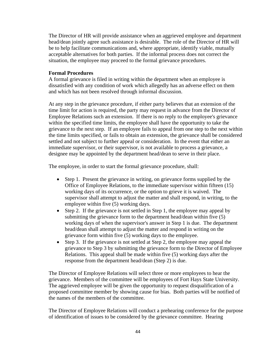The Director of HR will provide assistance when an aggrieved employee and department head/dean jointly agree such assistance is desirable. The role of the Director of HR will be to help facilitate communications and, where appropriate, identify viable, mutually acceptable alternatives for both parties. If the informal process does not correct the situation, the employee may proceed to the formal grievance procedures.

#### <span id="page-47-0"></span>**Formal Procedures**

A formal grievance is filed in writing within the department when an employee is dissatisfied with any condition of work which allegedly has an adverse effect on them and which has not been resolved through informal discussion.

At any step in the grievance procedure, if either party believes that an extension of the time limit for action is required, the party may request in advance from the Director of Employee Relations such an extension. If there is no reply to the employee's grievance within the specified time limits, the employee shall have the opportunity to take the grievance to the next step. If an employee fails to appeal from one step to the next within the time limits specified, or fails to obtain an extension, the grievance shall be considered settled and not subject to further appeal or consideration. In the event that either an immediate supervisor, or their supervisor, is not available to process a grievance, a designee may be appointed by the department head/dean to serve in their place.

The employee, in order to start the formal grievance procedure, shall:

- Step 1. Present the grievance in writing, on grievance forms supplied by the Office of Employee Relations, to the immediate supervisor within fifteen (15) working days of its occurrence, or the option to grieve it is waived. The supervisor shall attempt to adjust the matter and shall respond, in writing, to the employee within five (5) working days.
- Step 2. If the grievance is not settled in Step 1, the employee may appeal by submitting the grievance form to the department head/dean within five (5) working days of when the supervisor's answer in Step 1 is due. The department head/dean shall attempt to adjust the matter and respond in writing on the grievance form within five (5) working days to the employee.
- Step 3. If the grievance is not settled at Step 2, the employee may appeal the grievance to Step 3 by submitting the grievance form to the Director of Employee Relations. This appeal shall be made within five (5) working days after the response from the department head/dean (Step 2) is due.

The Director of Employee Relations will select three or more employees to hear the grievance. Members of the committee will be employees of Fort Hays State University. The aggrieved employee will be given the opportunity to request disqualification of a proposed committee member by showing cause for bias. Both parties will be notified of the names of the members of the committee.

The Director of Employee Relations will conduct a prehearing conference for the purpose of identification of issues to be considered by the grievance committee. Hearing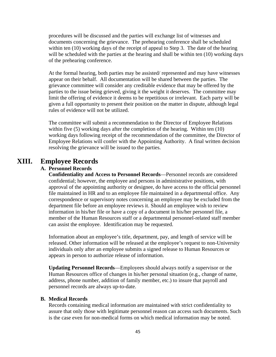procedures will be discussed and the parties will exchange list of witnesses and documents concerning the grievance. The prehearing conference shall be scheduled within ten (10) working days of the receipt of appeal to Step 3. The date of the hearing will be scheduled with the parties at the hearing and shall be within ten (10) working days of the prehearing conference.

At the formal hearing, both parties may be assisted/ represented and may have witnesses appear on their behalf. All documentation will be shared between the parties. The grievance committee will consider any creditable evidence that may be offered by the parties to the issue being grieved, giving it the weight it deserves. The committee may limit the offering of evidence it deems to be repetitious or irrelevant. Each party will be given a full opportunity to present their position on the matter in dispute, although legal rules of evidence will not be utilized.

The committee will submit a recommendation to the Director of Employee Relations within five (5) working days after the completion of the hearing. Within ten (10) working days following receipt of the recommendation of the committee, the Director of Employee Relations will confer with the Appointing Authority. A final written decision resolving the grievance will be issued to the parties.

## <span id="page-48-0"></span>**XIII. Employee Records**

#### **A. Personnel Records**

**Confidentiality and Access to Personnel Records**—Personnel records are considered confidential; however, the employee and persons in administrative positions, with approval of the appointing authority or designee, do have access to the official personnel file maintained in HR and to an employee file maintained in a departmental office. Any correspondence or supervisory notes concerning an employee may be excluded from the department file before an employee reviews it. Should an employee wish to review information in his/her file or have a copy of a document in his/her personnel file, a member of the Human Resources staff or a departmental personnel-related staff member can assist the employee. Identification may be requested.

<span id="page-48-1"></span>Information about an employee's title, department, pay, and length of service will be released. Other information will be released at the employee's request to non-University individuals only after an employee submits a signed release to Human Resources or appears in person to authorize release of information.

**Updating Personnel Records**—Employees should always notify a supervisor or the Human Resources office of changes in his/her personal situation (e.g., change of name, address, phone number, addition of family member, etc.) to insure that payroll and personnel records are always up-to-date.

#### **B. Medical Records**

Records containing medical information are maintained with strict confidentiality to assure that only those with legitimate personnel reason can access such documents. Such is the case even for non-medical forms on which medical information may be noted.